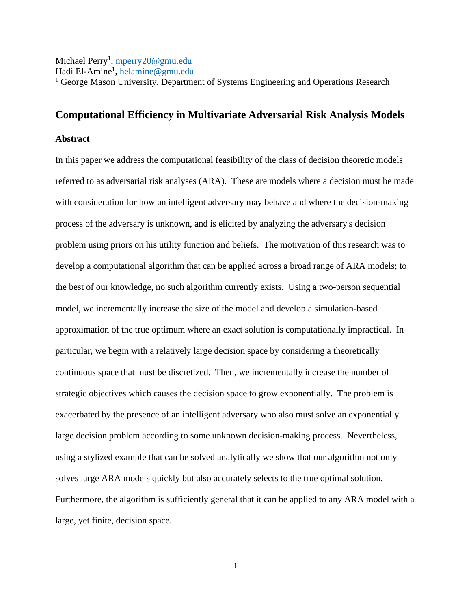## Michael Perry<sup>1</sup>, <u>mperry20@gmu.edu</u>

Hadi El-Amine<sup>1</sup>, <u>helamine@gmu.edu</u>

<sup>1</sup> George Mason University, Department of Systems Engineering and Operations Research

## **Computational Efficiency in Multivariate Adversarial Risk Analysis Models**

## **Abstract**

In this paper we address the computational feasibility of the class of decision theoretic models referred to as adversarial risk analyses (ARA). These are models where a decision must be made with consideration for how an intelligent adversary may behave and where the decision-making process of the adversary is unknown, and is elicited by analyzing the adversary's decision problem using priors on his utility function and beliefs. The motivation of this research was to develop a computational algorithm that can be applied across a broad range of ARA models; to the best of our knowledge, no such algorithm currently exists. Using a two-person sequential model, we incrementally increase the size of the model and develop a simulation-based approximation of the true optimum where an exact solution is computationally impractical. In particular, we begin with a relatively large decision space by considering a theoretically continuous space that must be discretized. Then, we incrementally increase the number of strategic objectives which causes the decision space to grow exponentially. The problem is exacerbated by the presence of an intelligent adversary who also must solve an exponentially large decision problem according to some unknown decision-making process. Nevertheless, using a stylized example that can be solved analytically we show that our algorithm not only solves large ARA models quickly but also accurately selects to the true optimal solution. Furthermore, the algorithm is sufficiently general that it can be applied to any ARA model with a large, yet finite, decision space.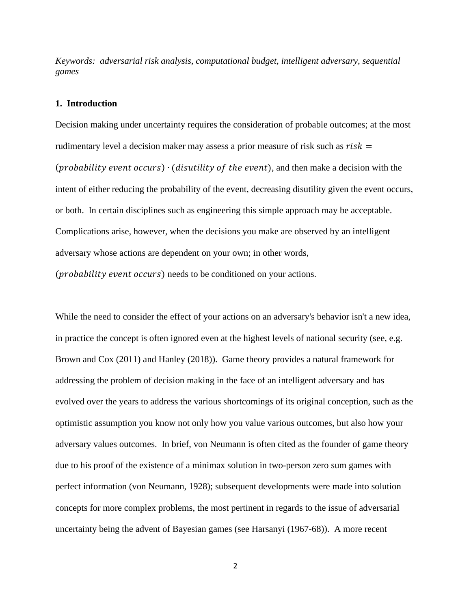*Keywords: adversarial risk analysis, computational budget, intelligent adversary, sequential games*

## **1. Introduction**

Decision making under uncertainty requires the consideration of probable outcomes; at the most rudimentary level a decision maker may assess a prior measure of risk such as  $risk =$  $(probability event occurs) \cdot (dis utility of the event),$  and then make a decision with the intent of either reducing the probability of the event, decreasing disutility given the event occurs, or both. In certain disciplines such as engineering this simple approach may be acceptable. Complications arise, however, when the decisions you make are observed by an intelligent adversary whose actions are dependent on your own; in other words,

 $(probability event occurs) needs to be conditioned on your actions.$ 

While the need to consider the effect of your actions on an adversary's behavior isn't a new idea, in practice the concept is often ignored even at the highest levels of national security (see, e.g. Brown and Cox (2011) and Hanley (2018)). Game theory provides a natural framework for addressing the problem of decision making in the face of an intelligent adversary and has evolved over the years to address the various shortcomings of its original conception, such as the optimistic assumption you know not only how you value various outcomes, but also how your adversary values outcomes. In brief, von Neumann is often cited as the founder of game theory due to his proof of the existence of a minimax solution in two-person zero sum games with perfect information (von Neumann, 1928); subsequent developments were made into solution concepts for more complex problems, the most pertinent in regards to the issue of adversarial uncertainty being the advent of Bayesian games (see Harsanyi (1967-68)). A more recent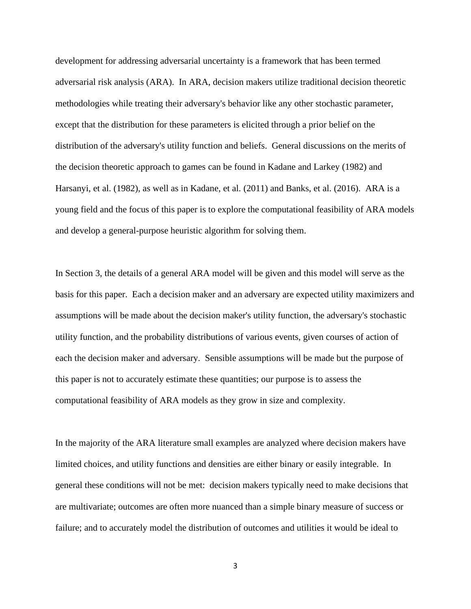development for addressing adversarial uncertainty is a framework that has been termed adversarial risk analysis (ARA). In ARA, decision makers utilize traditional decision theoretic methodologies while treating their adversary's behavior like any other stochastic parameter, except that the distribution for these parameters is elicited through a prior belief on the distribution of the adversary's utility function and beliefs. General discussions on the merits of the decision theoretic approach to games can be found in Kadane and Larkey (1982) and Harsanyi, et al. (1982), as well as in Kadane, et al. (2011) and Banks, et al. (2016). ARA is a young field and the focus of this paper is to explore the computational feasibility of ARA models and develop a general-purpose heuristic algorithm for solving them.

In Section 3, the details of a general ARA model will be given and this model will serve as the basis for this paper. Each a decision maker and an adversary are expected utility maximizers and assumptions will be made about the decision maker's utility function, the adversary's stochastic utility function, and the probability distributions of various events, given courses of action of each the decision maker and adversary. Sensible assumptions will be made but the purpose of this paper is not to accurately estimate these quantities; our purpose is to assess the computational feasibility of ARA models as they grow in size and complexity.

In the majority of the ARA literature small examples are analyzed where decision makers have limited choices, and utility functions and densities are either binary or easily integrable. In general these conditions will not be met: decision makers typically need to make decisions that are multivariate; outcomes are often more nuanced than a simple binary measure of success or failure; and to accurately model the distribution of outcomes and utilities it would be ideal to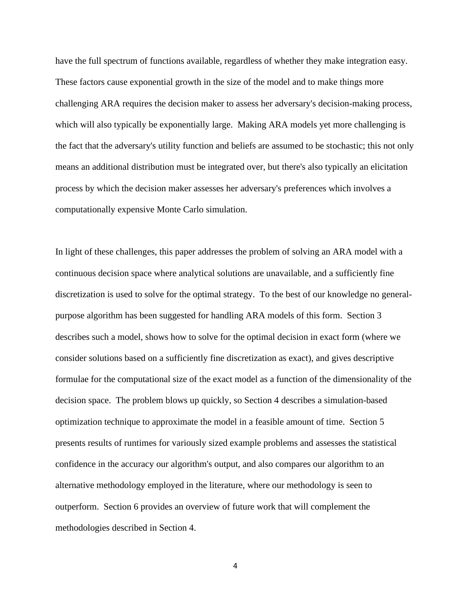have the full spectrum of functions available, regardless of whether they make integration easy. These factors cause exponential growth in the size of the model and to make things more challenging ARA requires the decision maker to assess her adversary's decision-making process, which will also typically be exponentially large. Making ARA models yet more challenging is the fact that the adversary's utility function and beliefs are assumed to be stochastic; this not only means an additional distribution must be integrated over, but there's also typically an elicitation process by which the decision maker assesses her adversary's preferences which involves a computationally expensive Monte Carlo simulation.

In light of these challenges, this paper addresses the problem of solving an ARA model with a continuous decision space where analytical solutions are unavailable, and a sufficiently fine discretization is used to solve for the optimal strategy. To the best of our knowledge no generalpurpose algorithm has been suggested for handling ARA models of this form. Section 3 describes such a model, shows how to solve for the optimal decision in exact form (where we consider solutions based on a sufficiently fine discretization as exact), and gives descriptive formulae for the computational size of the exact model as a function of the dimensionality of the decision space. The problem blows up quickly, so Section 4 describes a simulation-based optimization technique to approximate the model in a feasible amount of time. Section 5 presents results of runtimes for variously sized example problems and assesses the statistical confidence in the accuracy our algorithm's output, and also compares our algorithm to an alternative methodology employed in the literature, where our methodology is seen to outperform. Section 6 provides an overview of future work that will complement the methodologies described in Section 4.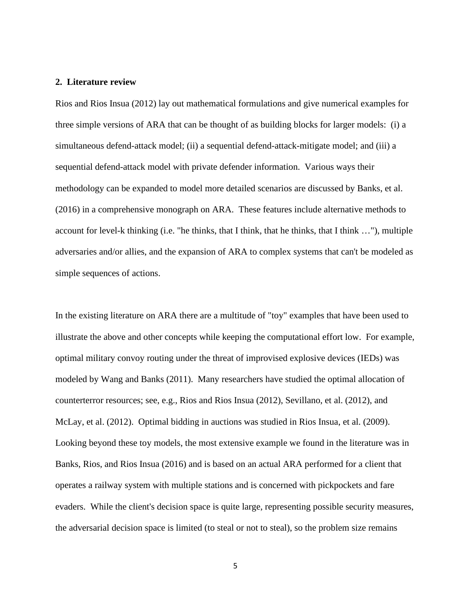## **2. Literature review**

Rios and Rios Insua (2012) lay out mathematical formulations and give numerical examples for three simple versions of ARA that can be thought of as building blocks for larger models: (i) a simultaneous defend-attack model; (ii) a sequential defend-attack-mitigate model; and (iii) a sequential defend-attack model with private defender information. Various ways their methodology can be expanded to model more detailed scenarios are discussed by Banks, et al. (2016) in a comprehensive monograph on ARA. These features include alternative methods to account for level-k thinking (i.e. "he thinks, that I think, that he thinks, that I think …"), multiple adversaries and/or allies, and the expansion of ARA to complex systems that can't be modeled as simple sequences of actions.

In the existing literature on ARA there are a multitude of "toy" examples that have been used to illustrate the above and other concepts while keeping the computational effort low. For example, optimal military convoy routing under the threat of improvised explosive devices (IEDs) was modeled by Wang and Banks (2011). Many researchers have studied the optimal allocation of counterterror resources; see, e.g., Rios and Rios Insua (2012), Sevillano, et al. (2012), and McLay, et al. (2012). Optimal bidding in auctions was studied in Rios Insua, et al. (2009). Looking beyond these toy models, the most extensive example we found in the literature was in Banks, Rios, and Rios Insua (2016) and is based on an actual ARA performed for a client that operates a railway system with multiple stations and is concerned with pickpockets and fare evaders. While the client's decision space is quite large, representing possible security measures, the adversarial decision space is limited (to steal or not to steal), so the problem size remains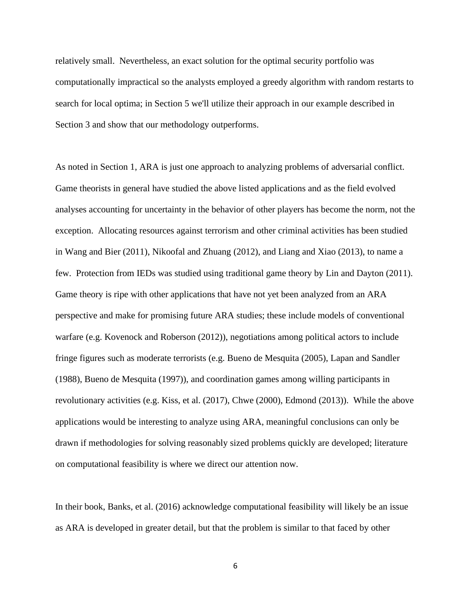relatively small. Nevertheless, an exact solution for the optimal security portfolio was computationally impractical so the analysts employed a greedy algorithm with random restarts to search for local optima; in Section 5 we'll utilize their approach in our example described in Section 3 and show that our methodology outperforms.

As noted in Section 1, ARA is just one approach to analyzing problems of adversarial conflict. Game theorists in general have studied the above listed applications and as the field evolved analyses accounting for uncertainty in the behavior of other players has become the norm, not the exception. Allocating resources against terrorism and other criminal activities has been studied in Wang and Bier (2011), Nikoofal and Zhuang (2012), and Liang and Xiao (2013), to name a few. Protection from IEDs was studied using traditional game theory by Lin and Dayton (2011). Game theory is ripe with other applications that have not yet been analyzed from an ARA perspective and make for promising future ARA studies; these include models of conventional warfare (e.g. Kovenock and Roberson (2012)), negotiations among political actors to include fringe figures such as moderate terrorists (e.g. Bueno de Mesquita (2005), Lapan and Sandler (1988), Bueno de Mesquita (1997)), and coordination games among willing participants in revolutionary activities (e.g. Kiss, et al. (2017), Chwe (2000), Edmond (2013)). While the above applications would be interesting to analyze using ARA, meaningful conclusions can only be drawn if methodologies for solving reasonably sized problems quickly are developed; literature on computational feasibility is where we direct our attention now.

In their book, Banks, et al. (2016) acknowledge computational feasibility will likely be an issue as ARA is developed in greater detail, but that the problem is similar to that faced by other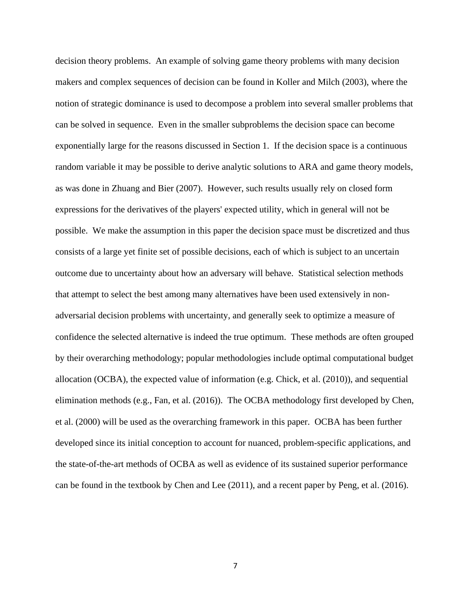decision theory problems. An example of solving game theory problems with many decision makers and complex sequences of decision can be found in Koller and Milch (2003), where the notion of strategic dominance is used to decompose a problem into several smaller problems that can be solved in sequence. Even in the smaller subproblems the decision space can become exponentially large for the reasons discussed in Section 1. If the decision space is a continuous random variable it may be possible to derive analytic solutions to ARA and game theory models, as was done in Zhuang and Bier (2007). However, such results usually rely on closed form expressions for the derivatives of the players' expected utility, which in general will not be possible. We make the assumption in this paper the decision space must be discretized and thus consists of a large yet finite set of possible decisions, each of which is subject to an uncertain outcome due to uncertainty about how an adversary will behave. Statistical selection methods that attempt to select the best among many alternatives have been used extensively in nonadversarial decision problems with uncertainty, and generally seek to optimize a measure of confidence the selected alternative is indeed the true optimum. These methods are often grouped by their overarching methodology; popular methodologies include optimal computational budget allocation (OCBA), the expected value of information (e.g. Chick, et al. (2010)), and sequential elimination methods (e.g., Fan, et al. (2016)). The OCBA methodology first developed by Chen, et al. (2000) will be used as the overarching framework in this paper. OCBA has been further developed since its initial conception to account for nuanced, problem-specific applications, and the state-of-the-art methods of OCBA as well as evidence of its sustained superior performance can be found in the textbook by Chen and Lee (2011), and a recent paper by Peng, et al. (2016).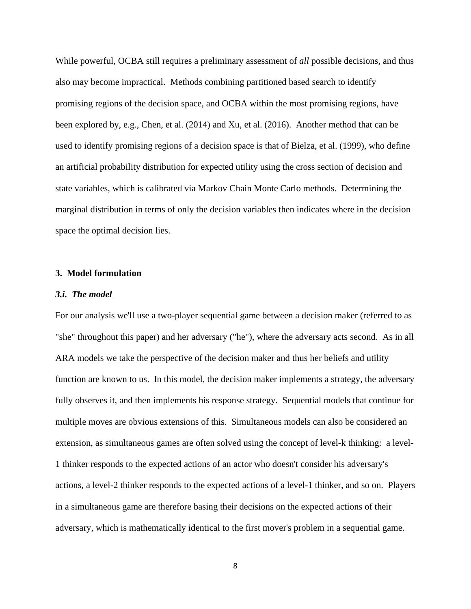While powerful, OCBA still requires a preliminary assessment of *all* possible decisions, and thus also may become impractical. Methods combining partitioned based search to identify promising regions of the decision space, and OCBA within the most promising regions, have been explored by, e.g., Chen, et al. (2014) and Xu, et al. (2016). Another method that can be used to identify promising regions of a decision space is that of Bielza, et al. (1999), who define an artificial probability distribution for expected utility using the cross section of decision and state variables, which is calibrated via Markov Chain Monte Carlo methods. Determining the marginal distribution in terms of only the decision variables then indicates where in the decision space the optimal decision lies.

## **3. Model formulation**

#### *3.i. The model*

For our analysis we'll use a two-player sequential game between a decision maker (referred to as "she" throughout this paper) and her adversary ("he"), where the adversary acts second. As in all ARA models we take the perspective of the decision maker and thus her beliefs and utility function are known to us. In this model, the decision maker implements a strategy, the adversary fully observes it, and then implements his response strategy. Sequential models that continue for multiple moves are obvious extensions of this. Simultaneous models can also be considered an extension, as simultaneous games are often solved using the concept of level-k thinking: a level-1 thinker responds to the expected actions of an actor who doesn't consider his adversary's actions, a level-2 thinker responds to the expected actions of a level-1 thinker, and so on. Players in a simultaneous game are therefore basing their decisions on the expected actions of their adversary, which is mathematically identical to the first mover's problem in a sequential game.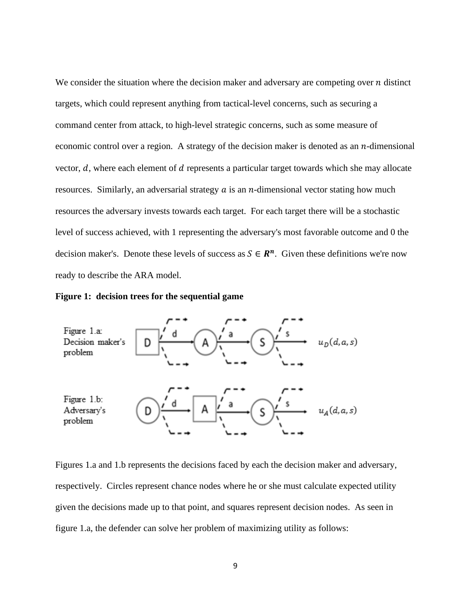We consider the situation where the decision maker and adversary are competing over  $n$  distinct targets, which could represent anything from tactical-level concerns, such as securing a command center from attack, to high-level strategic concerns, such as some measure of economic control over a region. A strategy of the decision maker is denoted as an  $n$ -dimensional vector,  $d$ , where each element of  $d$  represents a particular target towards which she may allocate resources. Similarly, an adversarial strategy  $a$  is an  $n$ -dimensional vector stating how much resources the adversary invests towards each target. For each target there will be a stochastic level of success achieved, with 1 representing the adversary's most favorable outcome and 0 the decision maker's. Denote these levels of success as  $S \in \mathbb{R}^n$ . Given these definitions we're now ready to describe the ARA model.





Figures 1.a and 1.b represents the decisions faced by each the decision maker and adversary, respectively. Circles represent chance nodes where he or she must calculate expected utility given the decisions made up to that point, and squares represent decision nodes. As seen in figure 1.a, the defender can solve her problem of maximizing utility as follows: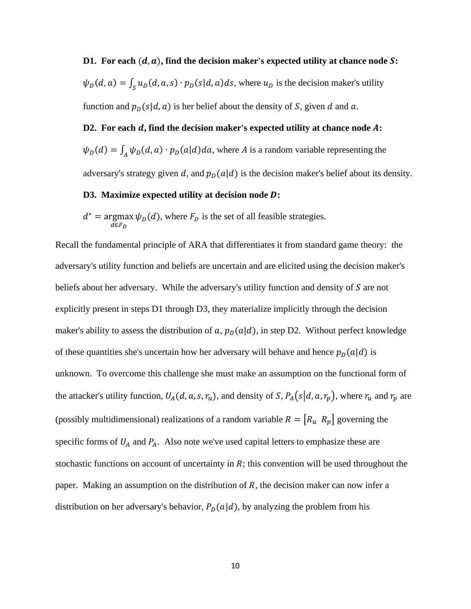**D1.** For each  $(d, a)$ , find the decision maker's expected utility at chance node S:  $\psi_D(d, a) = \int_S u_D(d, a, s) \cdot p_D(s|d, a) ds$ , where  $u_D$  is the decision maker's utility function and  $p_D(s|d, a)$  is her belief about the density of S, given d and a.

## **D2. For each , find the decision maker's expected utility at chance node :**

 $\psi_D(d) = \int_A \psi_D(d, a) \cdot p_D(a|d) da$ , where A is a random variable representing the adversary's strategy given d, and  $p_D(a|d)$  is the decision maker's belief about its density.

## **D3. Maximize expected utility at decision node :**

 $d^*$  = argmax  $a ∈ F_D$  $\psi_D(d)$ , where  $F_D$  is the set of all feasible strategies.

Recall the fundamental principle of ARA that differentiates it from standard game theory: the adversary's utility function and beliefs are uncertain and are elicited using the decision maker's beliefs about her adversary. While the adversary's utility function and density of  $S$  are not explicitly present in steps D1 through D3, they materialize implicitly through the decision maker's ability to assess the distribution of a,  $p<sub>D</sub>(a|d)$ , in step D2. Without perfect knowledge of these quantities she's uncertain how her adversary will behave and hence  $p_D(a|d)$  is unknown. To overcome this challenge she must make an assumption on the functional form of the attacker's utility function,  $U_A(d, a, s, r_u)$ , and density of S,  $P_A(s|d, a, r_p)$ , where  $r_u$  and  $r_p$  are (possibly multidimensional) realizations of a random variable  $R = [R_u \ R_p]$  governing the specific forms of  $U_A$  and  $P_A$ . Also note we've used capital letters to emphasize these are stochastic functions on account of uncertainty in *; this convention will be used throughout the* paper. Making an assumption on the distribution of *, the decision maker can now infer a* distribution on her adversary's behavior,  $P_D(a|d)$ , by analyzing the problem from his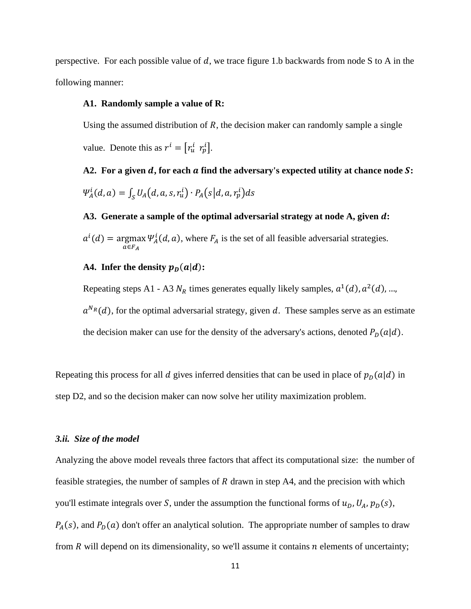perspective. For each possible value of  $d$ , we trace figure 1.b backwards from node S to A in the following manner:

#### **A1. Randomly sample a value of R:**

Using the assumed distribution of  $R$ , the decision maker can randomly sample a single

value. Denote this as  $r^i = [r_u^i \ r_p^i]$ .

A2. For a given *d*, for each *a* find the adversary's expected utility at chance node *S*:  $\Psi_{A}^{i}(d,a) = \int_{S} U_{A}(d,a,s,r_{u}^{i}) \cdot P_{A}(s|d,a,r_{p}^{i}) d s$ 

## **A3. Generate a sample of the optimal adversarial strategy at node A, given :**  $\mu(d) = \argmax$  $a ∈ F_A$  $\Psi^l_A(d, a)$ , where  $F_A$  is the set of all feasible adversarial strategies.

## A4. Infer the density  $p_D(a|d)$ :

Repeating steps A1 - A3  $N_R$  times generates equally likely samples,  $a^1(d)$ ,  $a^2(d)$ , ...,  $a^{N_R}(d)$ , for the optimal adversarial strategy, given d. These samples serve as an estimate the decision maker can use for the density of the adversary's actions, denoted  $P_D(a|d)$ .

Repeating this process for all d gives inferred densities that can be used in place of  $p_D(a|d)$  in step D2, and so the decision maker can now solve her utility maximization problem.

#### *3.ii. Size of the model*

Analyzing the above model reveals three factors that affect its computational size: the number of feasible strategies, the number of samples of  $R$  drawn in step A4, and the precision with which you'll estimate integrals over S, under the assumption the functional forms of  $u_D$ ,  $U_A$ ,  $p_D(s)$ ,  $P_A(s)$ , and  $P_D(a)$  don't offer an analytical solution. The appropriate number of samples to draw from  $R$  will depend on its dimensionality, so we'll assume it contains  $n$  elements of uncertainty;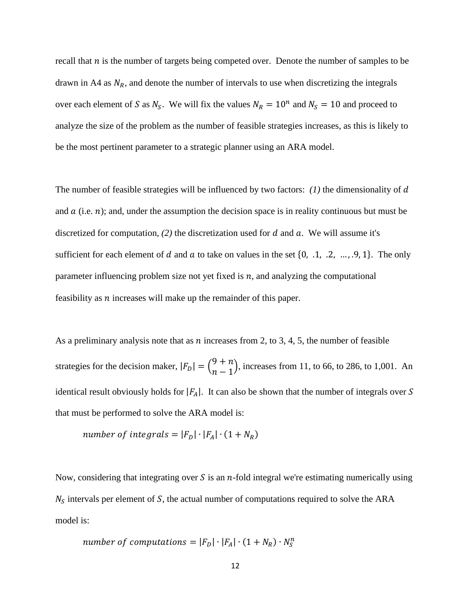recall that  $n$  is the number of targets being competed over. Denote the number of samples to be drawn in A4 as  $N_R$ , and denote the number of intervals to use when discretizing the integrals over each element of S as  $N_S$ . We will fix the values  $N_R = 10^n$  and  $N_S = 10$  and proceed to analyze the size of the problem as the number of feasible strategies increases, as this is likely to be the most pertinent parameter to a strategic planner using an ARA model.

The number of feasible strategies will be influenced by two factors: *(1)* the dimensionality of d and  $\alpha$  (i.e.  $n$ ); and, under the assumption the decision space is in reality continuous but must be discretized for computation,  $(2)$  the discretization used for  $d$  and  $a$ . We will assume it's sufficient for each element of d and a to take on values in the set  $\{0, .1, .2, ..., .9, 1\}$ . The only parameter influencing problem size not yet fixed is  $n$ , and analyzing the computational feasibility as  $n$  increases will make up the remainder of this paper.

As a preliminary analysis note that as n increases from 2, to 3, 4, 5, the number of feasible strategies for the decision maker,  $|F_D| = \binom{9}{n}$  $\binom{1}{-1}$ , increases from 11, to 66, to 286, to 1,001. An identical result obviously holds for  $|F_A|$ . It can also be shown that the number of integrals over S that must be performed to solve the ARA model is:

number of integrals = 
$$
|F_D| \cdot |F_A| \cdot (1 + N_R)
$$

Now, considering that integrating over S is an  $n$ -fold integral we're estimating numerically using  $N<sub>S</sub>$  intervals per element of S, the actual number of computations required to solve the ARA model is:

number of computations = 
$$
|F_D| \cdot |F_A| \cdot (1 + N_R) \cdot N_S^n
$$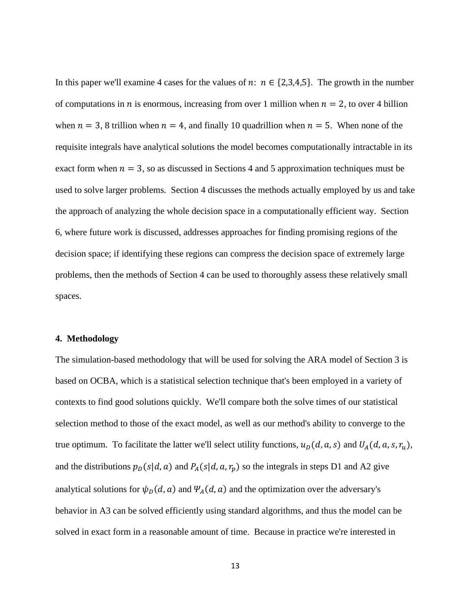In this paper we'll examine 4 cases for the values of  $n: n \in \{2,3,4,5\}$ . The growth in the number of computations in *n* is enormous, increasing from over 1 million when  $n = 2$ , to over 4 billion when  $n = 3$ , 8 trillion when  $n = 4$ , and finally 10 quadrillion when  $n = 5$ . When none of the requisite integrals have analytical solutions the model becomes computationally intractable in its exact form when  $n = 3$ , so as discussed in Sections 4 and 5 approximation techniques must be used to solve larger problems. Section 4 discusses the methods actually employed by us and take the approach of analyzing the whole decision space in a computationally efficient way. Section 6, where future work is discussed, addresses approaches for finding promising regions of the decision space; if identifying these regions can compress the decision space of extremely large problems, then the methods of Section 4 can be used to thoroughly assess these relatively small spaces.

## **4. Methodology**

The simulation-based methodology that will be used for solving the ARA model of Section 3 is based on OCBA, which is a statistical selection technique that's been employed in a variety of contexts to find good solutions quickly. We'll compare both the solve times of our statistical selection method to those of the exact model, as well as our method's ability to converge to the true optimum. To facilitate the latter we'll select utility functions,  $u_D(d, a, s)$  and  $U_A(d, a, s, r_u)$ , and the distributions  $p_D(s|d, a)$  and  $P_A(s|d, a, r_p)$  so the integrals in steps D1 and A2 give analytical solutions for  $\psi_D(d, a)$  and  $\Psi_A(d, a)$  and the optimization over the adversary's behavior in A3 can be solved efficiently using standard algorithms, and thus the model can be solved in exact form in a reasonable amount of time. Because in practice we're interested in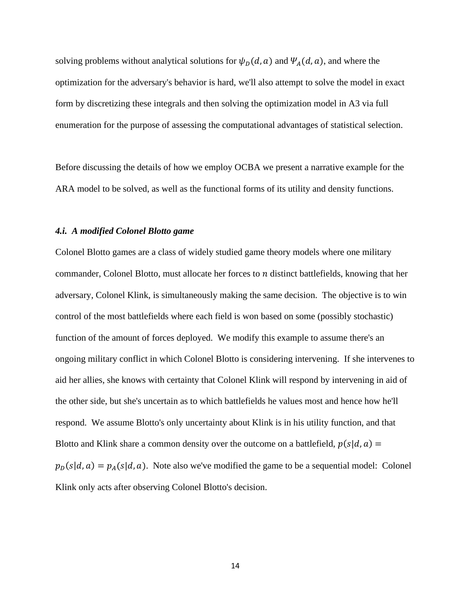solving problems without analytical solutions for  $\psi_D(d, a)$  and  $\Psi_A(d, a)$ , and where the optimization for the adversary's behavior is hard, we'll also attempt to solve the model in exact form by discretizing these integrals and then solving the optimization model in A3 via full enumeration for the purpose of assessing the computational advantages of statistical selection.

Before discussing the details of how we employ OCBA we present a narrative example for the ARA model to be solved, as well as the functional forms of its utility and density functions.

#### *4.i. A modified Colonel Blotto game*

Colonel Blotto games are a class of widely studied game theory models where one military commander, Colonel Blotto, must allocate her forces to  $n$  distinct battlefields, knowing that her adversary, Colonel Klink, is simultaneously making the same decision. The objective is to win control of the most battlefields where each field is won based on some (possibly stochastic) function of the amount of forces deployed. We modify this example to assume there's an ongoing military conflict in which Colonel Blotto is considering intervening. If she intervenes to aid her allies, she knows with certainty that Colonel Klink will respond by intervening in aid of the other side, but she's uncertain as to which battlefields he values most and hence how he'll respond. We assume Blotto's only uncertainty about Klink is in his utility function, and that Blotto and Klink share a common density over the outcome on a battlefield,  $p(s|d, a)$  =  $p_D(s|d, a) = p_A(s|d, a)$ . Note also we've modified the game to be a sequential model: Colonel Klink only acts after observing Colonel Blotto's decision.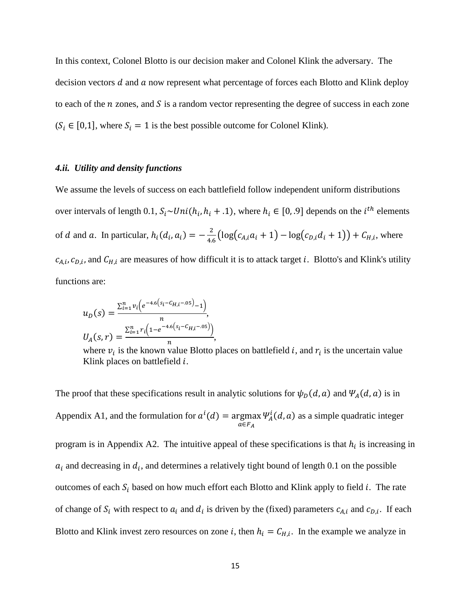In this context, Colonel Blotto is our decision maker and Colonel Klink the adversary. The decision vectors  $d$  and  $a$  now represent what percentage of forces each Blotto and Klink deploy to each of the  $n$  zones, and  $S$  is a random vector representing the degree of success in each zone  $(S_i \in [0,1],$  where  $S_i = 1$  is the best possible outcome for Colonel Klink).

#### *4.ii. Utility and density functions*

We assume the levels of success on each battlefield follow independent uniform distributions over intervals of length 0.1,  $S_i \sim Uni(h_i, h_i + .1)$ , where  $h_i \in [0, .9]$  depends on the  $i^{th}$  elements of *d* and *a*. In particular,  $h_i(d_i, a_i) = -\frac{2}{4.6} \left( \log(c_{A,i}a_i + 1) - \log(c_{D,i}d_i + 1) \right) + C_{H,i}$ , where  $c_{A,i}, c_{D,i}$ , and  $C_{H,i}$  are measures of how difficult it is to attack target *i*. Blotto's and Klink's utility functions are:

$$
u_D(s) = \frac{\sum_{i=1}^n v_i \left(e^{-4.6\left(s_i - C_{H,i} - 0.05\right)} - 1\right)}{n},
$$
  

$$
U_A(s, r) = \frac{\sum_{i=1}^n r_i \left(1 - e^{-4.6\left(s_i - C_{H,i} - 0.05\right)}\right)}{n},
$$

where  $v_i$  is the known value Blotto places on battlefield *i*, and  $r_i$  is the uncertain value Klink places on battlefield  $i$ .

The proof that these specifications result in analytic solutions for  $\psi_D(d, a)$  and  $\Psi_A(d, a)$  is in Appendix A1, and the formulation for  $a^i(d) = \text{argmax}$  $a∈F_A$  $\Psi^l_A(d, a)$  as a simple quadratic integer program is in Appendix A2. The intuitive appeal of these specifications is that  $h_i$  is increasing in  $a_i$  and decreasing in  $d_i$ , and determines a relatively tight bound of length 0.1 on the possible outcomes of each  $S_i$  based on how much effort each Blotto and Klink apply to field i. The rate of change of  $S_i$  with respect to  $a_i$  and  $d_i$  is driven by the (fixed) parameters  $c_{A,i}$  and  $c_{D,i}$ . If each Blotto and Klink invest zero resources on zone *i*, then  $h_i = C_{H,i}$ . In the example we analyze in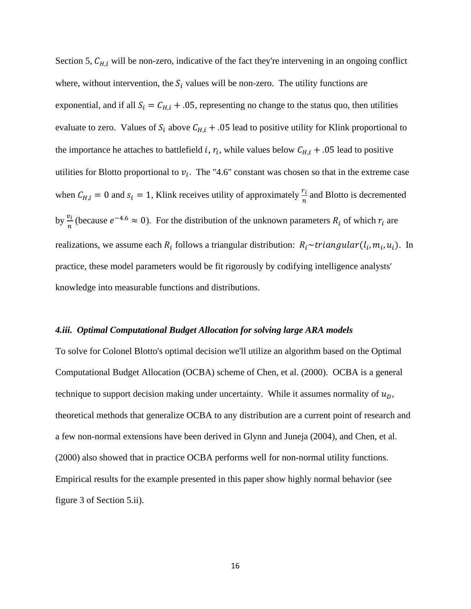Section 5,  $C_{H,i}$  will be non-zero, indicative of the fact they're intervening in an ongoing conflict where, without intervention, the  $S_i$  values will be non-zero. The utility functions are exponential, and if all  $S_i = C_{H,i} + .05$ , representing no change to the status quo, then utilities evaluate to zero. Values of  $S_i$  above  $C_{H,i}$  + .05 lead to positive utility for Klink proportional to the importance he attaches to battlefield *i*,  $r_i$ , while values below  $C_{H,i}$  + .05 lead to positive utilities for Blotto proportional to  $v_i$ . The "4.6" constant was chosen so that in the extreme case when  $C_{H,i} = 0$  and  $s_i = 1$ , Klink receives utility of approximately  $\frac{r_i}{n}$  and Blotto is decremented by  $\frac{v_i}{n}$  (because  $e^{-4.6} \approx 0$ ). For the distribution of the unknown parameters  $R_i$  of which  $r_i$  are realizations, we assume each  $R_i$  follows a triangular distribution:  $R_i \sim triangular(l_i, m_i, u_i)$ . In practice, these model parameters would be fit rigorously by codifying intelligence analysts' knowledge into measurable functions and distributions.

## *4.iii. Optimal Computational Budget Allocation for solving large ARA models*

To solve for Colonel Blotto's optimal decision we'll utilize an algorithm based on the Optimal Computational Budget Allocation (OCBA) scheme of Chen, et al. (2000). OCBA is a general technique to support decision making under uncertainty. While it assumes normality of  $u<sub>D</sub>$ , theoretical methods that generalize OCBA to any distribution are a current point of research and a few non-normal extensions have been derived in Glynn and Juneja (2004), and Chen, et al. (2000) also showed that in practice OCBA performs well for non-normal utility functions. Empirical results for the example presented in this paper show highly normal behavior (see figure 3 of Section 5.ii).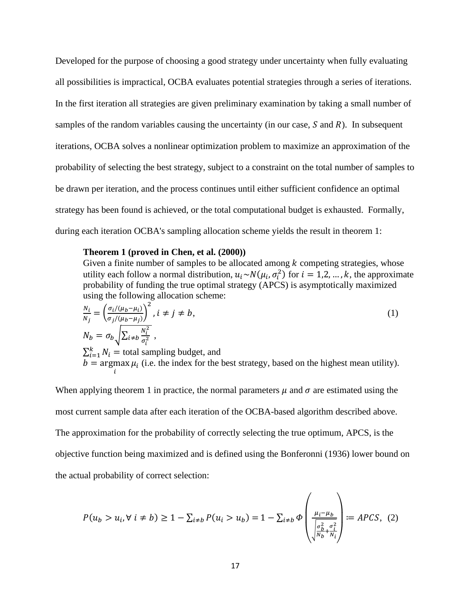Developed for the purpose of choosing a good strategy under uncertainty when fully evaluating all possibilities is impractical, OCBA evaluates potential strategies through a series of iterations. In the first iteration all strategies are given preliminary examination by taking a small number of samples of the random variables causing the uncertainty (in our case,  $S$  and  $R$ ). In subsequent iterations, OCBA solves a nonlinear optimization problem to maximize an approximation of the probability of selecting the best strategy, subject to a constraint on the total number of samples to be drawn per iteration, and the process continues until either sufficient confidence an optimal strategy has been found is achieved, or the total computational budget is exhausted. Formally, during each iteration OCBA's sampling allocation scheme yields the result in theorem 1:

#### **Theorem 1 (proved in Chen, et al. (2000))**

Given a finite number of samples to be allocated among  $k$  competing strategies, whose utility each follow a normal distribution,  $u_i \sim N(\mu_i, \sigma_i^2)$  for  $i = 1, 2, ..., k$ , the approximate probability of funding the true optimal strategy (APCS) is asymptotically maximized using the following allocation scheme:

$$
\frac{N_i}{N_j} = \left(\frac{\sigma_i/(\mu_b - \mu_i)}{\sigma_j/(\mu_b - \mu_j)}\right)^2, i \neq j \neq b,
$$
\n
$$
N_b = \sigma_b \sqrt{\sum_{i \neq b} \frac{N_i^2}{\sigma_i^2}},
$$
\n
$$
\sum_{i=1}^k N_i = \text{total sampling budget, and}
$$
\n
$$
b = \underset{i}{\text{argmax }} \mu_i \text{ (i.e. the index for the best strategy, based on the highest mean utility)}.
$$
\n(1)

When applying theorem 1 in practice, the normal parameters  $\mu$  and  $\sigma$  are estimated using the most current sample data after each iteration of the OCBA-based algorithm described above. The approximation for the probability of correctly selecting the true optimum, APCS, is the objective function being maximized and is defined using the Bonferonni (1936) lower bound on the actual probability of correct selection:

$$
P(u_b > u_i, \forall i \neq b) \ge 1 - \sum_{i \neq b} P(u_i > u_b) = 1 - \sum_{i \neq b} \Phi \left( \frac{\mu_i - \mu_b}{\sqrt{\frac{\sigma_b^2}{N_b} + \frac{\sigma_i^2}{N_i}}} \right) := A PCS, (2)
$$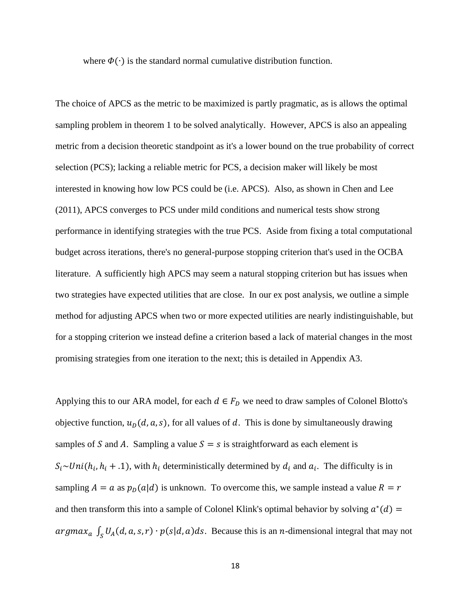where  $\Phi(\cdot)$  is the standard normal cumulative distribution function.

The choice of APCS as the metric to be maximized is partly pragmatic, as is allows the optimal sampling problem in theorem 1 to be solved analytically. However, APCS is also an appealing metric from a decision theoretic standpoint as it's a lower bound on the true probability of correct selection (PCS); lacking a reliable metric for PCS, a decision maker will likely be most interested in knowing how low PCS could be (i.e. APCS). Also, as shown in Chen and Lee (2011), APCS converges to PCS under mild conditions and numerical tests show strong performance in identifying strategies with the true PCS. Aside from fixing a total computational budget across iterations, there's no general-purpose stopping criterion that's used in the OCBA literature. A sufficiently high APCS may seem a natural stopping criterion but has issues when two strategies have expected utilities that are close. In our ex post analysis, we outline a simple method for adjusting APCS when two or more expected utilities are nearly indistinguishable, but for a stopping criterion we instead define a criterion based a lack of material changes in the most promising strategies from one iteration to the next; this is detailed in Appendix A3.

Applying this to our ARA model, for each  $d \in F_D$  we need to draw samples of Colonel Blotto's objective function,  $u<sub>D</sub>(d, a, s)$ , for all values of d. This is done by simultaneously drawing samples of S and A. Sampling a value  $S = s$  is straightforward as each element is  $S_i \sim Uni(h_i, h_i + .1)$ , with  $h_i$  deterministically determined by  $d_i$  and  $a_i$ . The difficulty is in sampling  $A = a$  as  $p_D(a | d)$  is unknown. To overcome this, we sample instead a value  $R = r$ and then transform this into a sample of Colonel Klink's optimal behavior by solving  $a^*(d)$  = argmax<sub>a</sub>  $\int_S U_A(d, a, s, r) \cdot p(s|d, a) ds$ . Because this is an *n*-dimensional integral that may not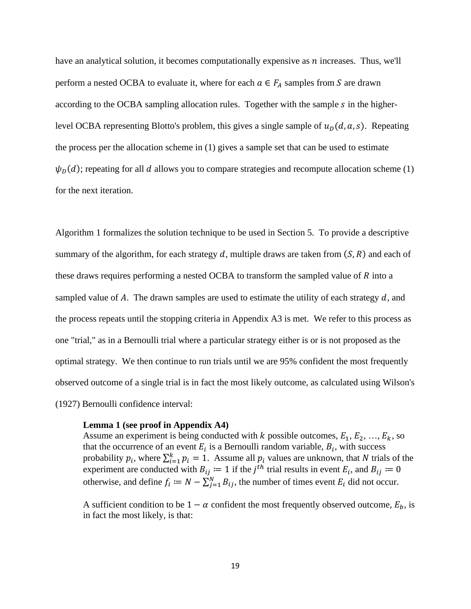have an analytical solution, it becomes computationally expensive as  $n$  increases. Thus, we'll perform a nested OCBA to evaluate it, where for each  $a \in F_A$  samples from S are drawn according to the OCBA sampling allocation rules. Together with the sample s in the higherlevel OCBA representing Blotto's problem, this gives a single sample of  $u_p(d, a, s)$ . Repeating the process per the allocation scheme in (1) gives a sample set that can be used to estimate  $\psi_D(d)$ ; repeating for all d allows you to compare strategies and recompute allocation scheme (1) for the next iteration.

Algorithm 1 formalizes the solution technique to be used in Section 5. To provide a descriptive summary of the algorithm, for each strategy  $d$ , multiple draws are taken from  $(S, R)$  and each of these draws requires performing a nested OCBA to transform the sampled value of  $R$  into a sampled value of A. The drawn samples are used to estimate the utility of each strategy  $d$ , and the process repeats until the stopping criteria in Appendix A3 is met. We refer to this process as one "trial," as in a Bernoulli trial where a particular strategy either is or is not proposed as the optimal strategy. We then continue to run trials until we are 95% confident the most frequently observed outcome of a single trial is in fact the most likely outcome, as calculated using Wilson's (1927) Bernoulli confidence interval:

#### **Lemma 1 (see proof in Appendix A4)**

Assume an experiment is being conducted with k possible outcomes,  $E_1, E_2, ..., E_k$ , so that the occurrence of an event  $E_i$  is a Bernoulli random variable,  $B_i$ , with success probability  $p_i$ , where  $\sum_{i=1}^{k} p_i = 1$ . Assume all  $p_i$  values are unknown, that N trials of the experiment are conducted with  $B_{ij} := 1$  if the  $j^{th}$  trial results in event  $E_i$ , and  $B_{ij} := 0$ otherwise, and define  $f_i := N - \sum_{j=1}^{N} B_{ij}$ , the number of times event  $E_i$  did not occur.

A sufficient condition to be  $1 - \alpha$  confident the most frequently observed outcome,  $E_b$ , is in fact the most likely, is that: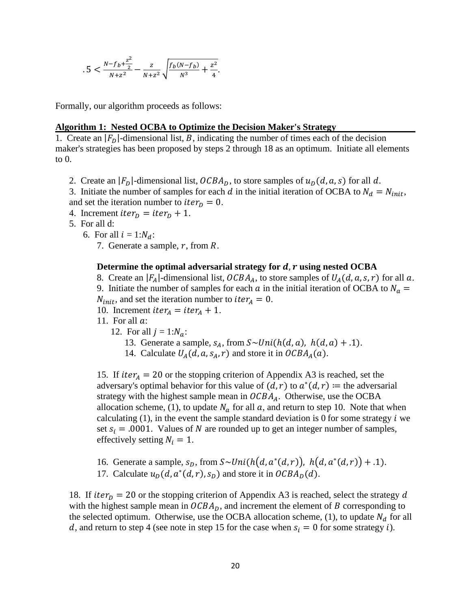$$
.5 < \frac{N - f_b + \frac{z^2}{2}}{N + z^2} - \frac{z}{N + z^2} \sqrt{\frac{f_b(N - f_b)}{N^3} + \frac{z^2}{4}}.
$$

Formally, our algorithm proceeds as follows:

## **Algorithm 1: Nested OCBA to Optimize the Decision Maker's Strategy**

1. Create an  $|F_D|$ -dimensional list, B, indicating the number of times each of the decision maker's strategies has been proposed by steps 2 through 18 as an optimum. Initiate all elements to 0.

2. Create an  $|F_D|$ -dimensional list,  $OCBA_D$ , to store samples of  $u_D(d, a, s)$  for all d.

3. Initiate the number of samples for each d in the initial iteration of OCBA to  $N_d = N_{init}$ , and set the iteration number to *iter<sub>p</sub>* = 0.

- 4. Increment *iter<sub>p</sub>* = *iter<sub>p</sub>* + 1.
- 5. For all d:
	- 6. For all  $i = 1:N_d$ :
		- 7. Generate a sample,  $r$ , from  $R$ .

#### **Determine the optimal adversarial strategy for d, r using nested OCBA**

8. Create an  $|F_A|$ -dimensional list,  $OCBA_A$ , to store samples of  $U_A(d, a, s, r)$  for all a. 9. Initiate the number of samples for each  $\alpha$  in the initial iteration of OCBA to  $N_{\alpha}$  =  $N_{init}$ , and set the iteration number to *iter<sub>A</sub>* = 0.

- 10. Increment *iter<sub>A</sub>* = *iter<sub>A</sub>* + 1.
- 11. For all  $a$ :
	- 12. For all  $j = 1:N_a$ :
		- 13. Generate a sample,  $s_A$ , from  $S \sim Uni(h(d, a), h(d, a) + .1)$ .
		- 14. Calculate  $U_A(d, a, s_A, r)$  and store it in  $OCBA_A(a)$ .

15. If  $iter_A = 20$  or the stopping criterion of Appendix A3 is reached, set the adversary's optimal behavior for this value of  $(d, r)$  to  $a^*(d, r) \coloneqq$  the adversarial strategy with the highest sample mean in  $OCBA<sub>A</sub>$ . Otherwise, use the OCBA allocation scheme, (1), to update  $N_a$  for all  $a$ , and return to step 10. Note that when calculating  $(1)$ , in the event the sample standard deviation is 0 for some strategy i we set  $s_i = .0001$ . Values of N are rounded up to get an integer number of samples, effectively setting  $N_i = 1$ .

- 16. Generate a sample,  $s_D$ , from  $S \sim Uni(h(d, a^*(d, r)), h(d, a^*(d, r)) + .1)$ .
- 17. Calculate  $u_p(d, a^*(d, r), s_p)$  and store it in  $OCBA_p(d)$ .

18. If  $iter_D = 20$  or the stopping criterion of Appendix A3 is reached, select the strategy d with the highest sample mean in  $OCBA<sub>D</sub>$ , and increment the element of B corresponding to the selected optimum. Otherwise, use the OCBA allocation scheme, (1), to update  $N_d$  for all d, and return to step 4 (see note in step 15 for the case when  $s_i = 0$  for some strategy i).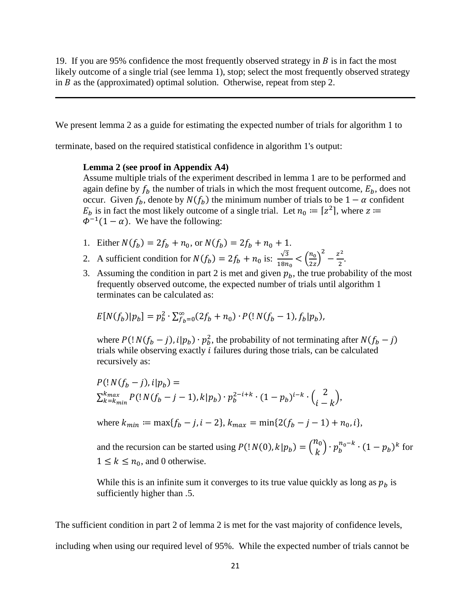19. If you are 95% confidence the most frequently observed strategy in  $\hat{B}$  is in fact the most likely outcome of a single trial (see lemma 1), stop; select the most frequently observed strategy in  $B$  as the (approximated) optimal solution. Otherwise, repeat from step 2.

We present lemma 2 as a guide for estimating the expected number of trials for algorithm 1 to

terminate, based on the required statistical confidence in algorithm 1's output:

#### **Lemma 2 (see proof in Appendix A4)**

Assume multiple trials of the experiment described in lemma 1 are to be performed and again define by  $f_b$  the number of trials in which the most frequent outcome,  $E_b$ , does not occur. Given  $f_b$ , denote by  $N(f_b)$  the minimum number of trials to be  $1 - \alpha$  confident  $E_b$  is in fact the most likely outcome of a single trial. Let  $n_0 := [z^2]$ , where  $z :=$  $\Phi^{-1}(1-\alpha)$ . We have the following:

- 1. Either  $N(f_b) = 2f_b + n_0$ , or  $N(f_b) = 2f_b + n_0 + 1$ .
- 2. A sufficient condition for  $N(f_b) = 2f_b + n_0$  is:  $\frac{\sqrt{3}}{18n}$  $\frac{\sqrt{3}}{18n_0} < \left(\frac{n_0}{2z}\right)$  $\frac{v}{2z}$  $\frac{z^2}{2} - \frac{z^2}{2}$ .
- 3. Assuming the condition in part 2 is met and given  $p<sub>b</sub>$ , the true probability of the most frequently observed outcome, the expected number of trials until algorithm 1 terminates can be calculated as:

$$
E[N(f_b)|p_b] = p_b^2 \cdot \sum_{f_b=0}^{\infty} (2f_b + n_0) \cdot P(\frac{N(f_b-1), f_b|p_b)}{p_b},
$$

where  $P(|N(f_b - j), i|p_b) \cdot p_b^2$ , the probability of not terminating after  $N(f_b - j)$ trials while observing exactly  $i$  failures during those trials, can be calculated recursively as:

$$
P(\frac{N(f_b - j)}{k} + i|p_b) =
$$
  
\n
$$
\sum_{k=k_{min}}^{k_{max}} P(\frac{N(f_b - j - 1)}{k}|p_b) \cdot p_b^{2 - i + k} \cdot (1 - p_b)^{i - k} \cdot \binom{2}{i - k},
$$

where  $k_{min} := \max\{f_h - j, i - 2\}, k_{max} = \min\{2(f_h - j - 1) + n_0, i\},\$ 

and the recursion can be started using  $P($ !  $N(0), k | p_b) = {n_0 \choose k} \cdot p_b^{n_0-k} \cdot (1 - p_b)^k$  for  $1 \leq k \leq n_0$ , and 0 otherwise.

While this is an infinite sum it converges to its true value quickly as long as  $p_b$  is sufficiently higher than .5.

The sufficient condition in part 2 of lemma 2 is met for the vast majority of confidence levels, including when using our required level of 95%. While the expected number of trials cannot be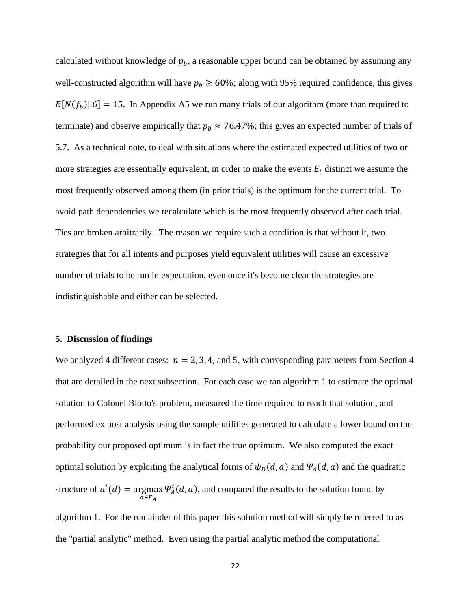calculated without knowledge of  $p_b$ , a reasonable upper bound can be obtained by assuming any well-constructed algorithm will have  $p_b \ge 60\%$ ; along with 95% required confidence, this gives  $E[N(f_h)|.6] = 15$ . In Appendix A5 we run many trials of our algorithm (more than required to terminate) and observe empirically that  $p_b \approx 76.47\%$ ; this gives an expected number of trials of 5.7. As a technical note, to deal with situations where the estimated expected utilities of two or more strategies are essentially equivalent, in order to make the events  $E_i$  distinct we assume the most frequently observed among them (in prior trials) is the optimum for the current trial. To avoid path dependencies we recalculate which is the most frequently observed after each trial. Ties are broken arbitrarily. The reason we require such a condition is that without it, two strategies that for all intents and purposes yield equivalent utilities will cause an excessive number of trials to be run in expectation, even once it's become clear the strategies are indistinguishable and either can be selected.

#### **5. Discussion of findings**

We analyzed 4 different cases:  $n = 2, 3, 4$ , and 5, with corresponding parameters from Section 4 that are detailed in the next subsection. For each case we ran algorithm 1 to estimate the optimal solution to Colonel Blotto's problem, measured the time required to reach that solution, and performed ex post analysis using the sample utilities generated to calculate a lower bound on the probability our proposed optimum is in fact the true optimum. We also computed the exact optimal solution by exploiting the analytical forms of  $\psi_D(d, a)$  and  $\Psi_A(d, a)$  and the quadratic structure of  $a^i(d) = \argmax_{A} \Psi_A^i(d, a)$ , and compared the results to the solution found by  $a∈F_A$ 

algorithm 1. For the remainder of this paper this solution method will simply be referred to as the "partial analytic" method. Even using the partial analytic method the computational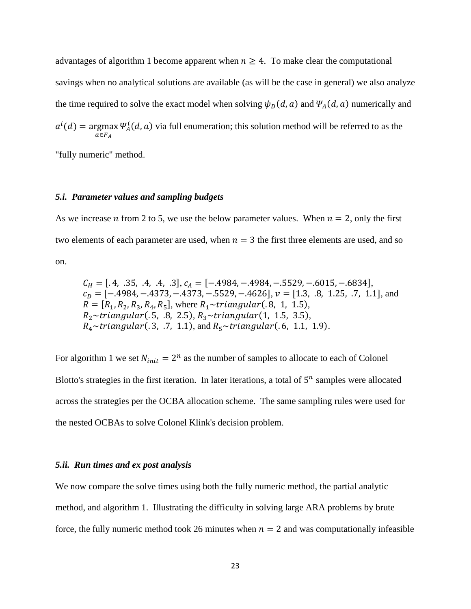advantages of algorithm 1 become apparent when  $n \geq 4$ . To make clear the computational savings when no analytical solutions are available (as will be the case in general) we also analyze the time required to solve the exact model when solving  $\psi_D(d, a)$  and  $\Psi_A(d, a)$  numerically and  $\mu(d) = \argmax$  $a ∈ F_A$  $\Psi^l_A(d, a)$  via full enumeration; this solution method will be referred to as the

"fully numeric" method.

## *5.i. Parameter values and sampling budgets*

As we increase *n* from 2 to 5, we use the below parameter values. When  $n = 2$ , only the first two elements of each parameter are used, when  $n = 3$  the first three elements are used, and so on.

$$
C_H = [.4, .35, .4, .4, .3], c_A = [-.4984, -.4984, -.5529, -.6015, -.6834],
$$
  
\n
$$
c_D = [-.4984, -.4373, -.4373, -.5529, -.4626], v = [1.3, .8, 1.25, .7, 1.1], and
$$
  
\n
$$
R = [R_1, R_2, R_3, R_4, R_5],
$$
 where  $R_1 \sim triangular(.8, 1, 1.5),$   
\n $R_2 \sim triangular(.5, .8, 2.5), R_3 \sim triangular(1, 1.5, 3.5),$   
\n $R_4 \sim triangular(.3, .7, 1.1),$  and  $R_5 \sim triangular(.6, 1.1, 1.9).$ 

For algorithm 1 we set  $N_{init} = 2^n$  as the number of samples to allocate to each of Colonel Blotto's strategies in the first iteration. In later iterations, a total of  $5^n$  samples were allocated across the strategies per the OCBA allocation scheme. The same sampling rules were used for the nested OCBAs to solve Colonel Klink's decision problem.

## *5.ii. Run times and ex post analysis*

We now compare the solve times using both the fully numeric method, the partial analytic method, and algorithm 1. Illustrating the difficulty in solving large ARA problems by brute force, the fully numeric method took 26 minutes when  $n = 2$  and was computationally infeasible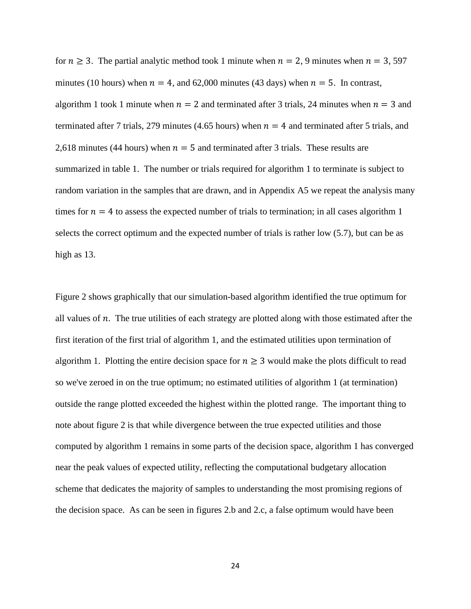for  $n \ge 3$ . The partial analytic method took 1 minute when  $n = 2, 9$  minutes when  $n = 3, 597$ minutes (10 hours) when  $n = 4$ , and 62,000 minutes (43 days) when  $n = 5$ . In contrast, algorithm 1 took 1 minute when  $n = 2$  and terminated after 3 trials, 24 minutes when  $n = 3$  and terminated after 7 trials, 279 minutes (4.65 hours) when  $n = 4$  and terminated after 5 trials, and 2,618 minutes (44 hours) when  $n = 5$  and terminated after 3 trials. These results are summarized in table 1. The number or trials required for algorithm 1 to terminate is subject to random variation in the samples that are drawn, and in Appendix A5 we repeat the analysis many times for  $n = 4$  to assess the expected number of trials to termination; in all cases algorithm 1 selects the correct optimum and the expected number of trials is rather low (5.7), but can be as high as 13.

Figure 2 shows graphically that our simulation-based algorithm identified the true optimum for all values of  $n$ . The true utilities of each strategy are plotted along with those estimated after the first iteration of the first trial of algorithm 1, and the estimated utilities upon termination of algorithm 1. Plotting the entire decision space for  $n \geq 3$  would make the plots difficult to read so we've zeroed in on the true optimum; no estimated utilities of algorithm 1 (at termination) outside the range plotted exceeded the highest within the plotted range. The important thing to note about figure 2 is that while divergence between the true expected utilities and those computed by algorithm 1 remains in some parts of the decision space, algorithm 1 has converged near the peak values of expected utility, reflecting the computational budgetary allocation scheme that dedicates the majority of samples to understanding the most promising regions of the decision space. As can be seen in figures 2.b and 2.c, a false optimum would have been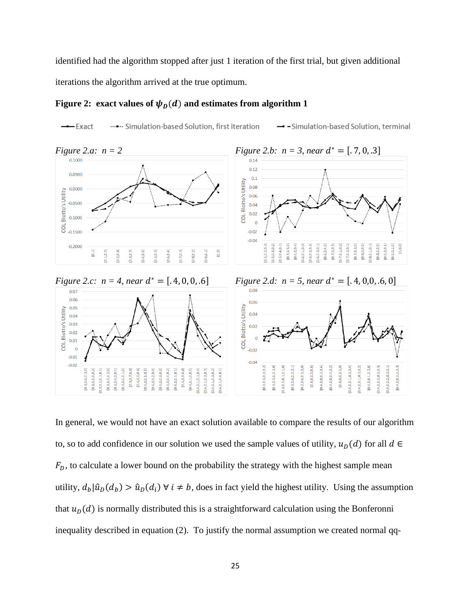identified had the algorithm stopped after just 1 iteration of the first trial, but given additional iterations the algorithm arrived at the true optimum.

## **Figure 2:** exact values of  $\psi_D(d)$  and estimates from algorithm 1





In general, we would not have an exact solution available to compare the results of our algorithm to, so to add confidence in our solution we used the sample values of utility,  $u_D(d)$  for all  $d \in$  $F<sub>D</sub>$ , to calculate a lower bound on the probability the strategy with the highest sample mean utility,  $d_b | \hat{u}_D(d_b) > \hat{u}_D(d_i) \forall i \neq b$ , does in fact yield the highest utility. Using the assumption that  $u<sub>D</sub>(d)$  is normally distributed this is a straightforward calculation using the Bonferonni inequality described in equation (2). To justify the normal assumption we created normal qq-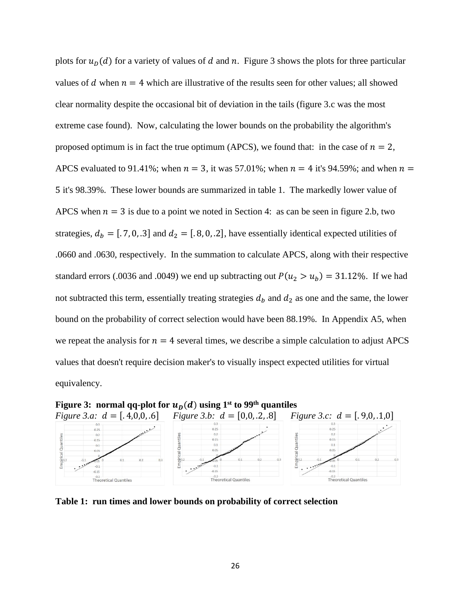plots for  $u_D(d)$  for a variety of values of d and n. Figure 3 shows the plots for three particular values of d when  $n = 4$  which are illustrative of the results seen for other values; all showed clear normality despite the occasional bit of deviation in the tails (figure 3.c was the most extreme case found). Now, calculating the lower bounds on the probability the algorithm's proposed optimum is in fact the true optimum (APCS), we found that: in the case of  $n = 2$ , APCS evaluated to 91.41%; when  $n = 3$ , it was 57.01%; when  $n = 4$  it's 94.59%; and when  $n =$ 5 it's 98.39%. These lower bounds are summarized in table 1. The markedly lower value of APCS when  $n = 3$  is due to a point we noted in Section 4: as can be seen in figure 2.b, two strategies,  $d_b = [.7, 0, .3]$  and  $d_2 = [.8, 0, .2]$ , have essentially identical expected utilities of .0660 and .0630, respectively. In the summation to calculate APCS, along with their respective standard errors (.0036 and .0049) we end up subtracting out  $P(u_2 > u_b) = 31.12\%$ . If we had not subtracted this term, essentially treating strategies  $d<sub>b</sub>$  and  $d<sub>2</sub>$  as one and the same, the lower bound on the probability of correct selection would have been 88.19%. In Appendix A5, when we repeat the analysis for  $n = 4$  several times, we describe a simple calculation to adjust APCS values that doesn't require decision maker's to visually inspect expected utilities for virtual equivalency.



**Table 1: run times and lower bounds on probability of correct selection**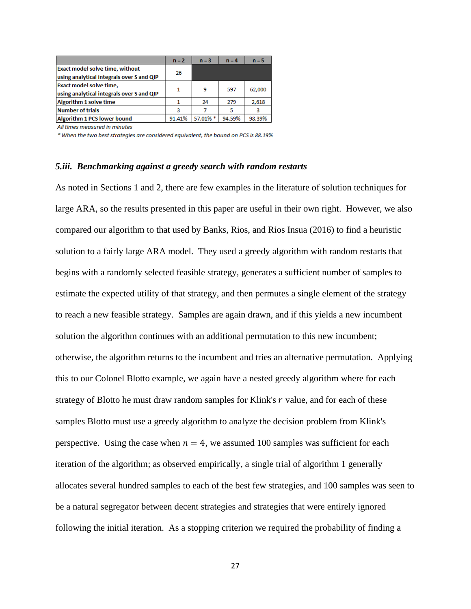|                                                    | $n = 2$ | $n = 3$  | $n = 4$ | $n = 5$ |
|----------------------------------------------------|---------|----------|---------|---------|
| <b>Exact model solve time, without</b>             | 26      |          |         |         |
| using analytical integrals over S and QIP          |         |          |         |         |
| Exact model solve time,                            | 1       | 9        | 597     | 62,000  |
| using analytical integrals over S and QIP          |         |          |         |         |
| <b>Algorithm 1 solve time</b>                      |         | 24       | 279     | 2,618   |
| Number of trials                                   | 3       |          | 5       | 3       |
| Algorithm 1 PCS lower bound                        | 91.41%  | 57.01% * | 94.59%  | 98.39%  |
| All Attack and the monotonical for the formulation |         |          |         |         |

All times measured in minutes

\* When the two best strategies are considered equivalent, the bound on PCS is 88.19%

#### *5.iii. Benchmarking against a greedy search with random restarts*

As noted in Sections 1 and 2, there are few examples in the literature of solution techniques for large ARA, so the results presented in this paper are useful in their own right. However, we also compared our algorithm to that used by Banks, Rios, and Rios Insua (2016) to find a heuristic solution to a fairly large ARA model. They used a greedy algorithm with random restarts that begins with a randomly selected feasible strategy, generates a sufficient number of samples to estimate the expected utility of that strategy, and then permutes a single element of the strategy to reach a new feasible strategy. Samples are again drawn, and if this yields a new incumbent solution the algorithm continues with an additional permutation to this new incumbent; otherwise, the algorithm returns to the incumbent and tries an alternative permutation. Applying this to our Colonel Blotto example, we again have a nested greedy algorithm where for each strategy of Blotto he must draw random samples for Klink's  $r$  value, and for each of these samples Blotto must use a greedy algorithm to analyze the decision problem from Klink's perspective. Using the case when  $n = 4$ , we assumed 100 samples was sufficient for each iteration of the algorithm; as observed empirically, a single trial of algorithm 1 generally allocates several hundred samples to each of the best few strategies, and 100 samples was seen to be a natural segregator between decent strategies and strategies that were entirely ignored following the initial iteration. As a stopping criterion we required the probability of finding a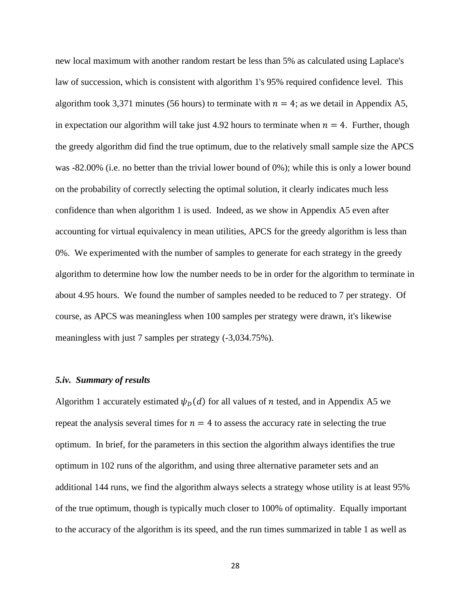new local maximum with another random restart be less than 5% as calculated using Laplace's law of succession, which is consistent with algorithm 1's 95% required confidence level. This algorithm took 3,371 minutes (56 hours) to terminate with  $n = 4$ ; as we detail in Appendix A5, in expectation our algorithm will take just 4.92 hours to terminate when  $n = 4$ . Further, though the greedy algorithm did find the true optimum, due to the relatively small sample size the APCS was -82.00% (i.e. no better than the trivial lower bound of 0%); while this is only a lower bound on the probability of correctly selecting the optimal solution, it clearly indicates much less confidence than when algorithm 1 is used. Indeed, as we show in Appendix A5 even after accounting for virtual equivalency in mean utilities, APCS for the greedy algorithm is less than 0%. We experimented with the number of samples to generate for each strategy in the greedy algorithm to determine how low the number needs to be in order for the algorithm to terminate in about 4.95 hours. We found the number of samples needed to be reduced to 7 per strategy. Of course, as APCS was meaningless when 100 samples per strategy were drawn, it's likewise meaningless with just 7 samples per strategy (-3,034.75%).

### *5.iv. Summary of results*

Algorithm 1 accurately estimated  $\psi_D(d)$  for all values of *n* tested, and in Appendix A5 we repeat the analysis several times for  $n = 4$  to assess the accuracy rate in selecting the true optimum. In brief, for the parameters in this section the algorithm always identifies the true optimum in 102 runs of the algorithm, and using three alternative parameter sets and an additional 144 runs, we find the algorithm always selects a strategy whose utility is at least 95% of the true optimum, though is typically much closer to 100% of optimality. Equally important to the accuracy of the algorithm is its speed, and the run times summarized in table 1 as well as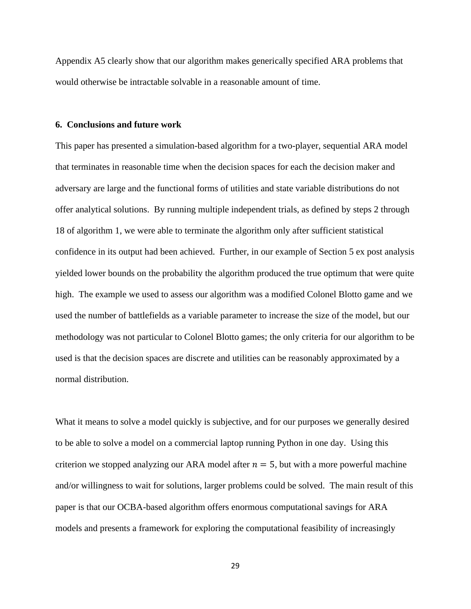Appendix A5 clearly show that our algorithm makes generically specified ARA problems that would otherwise be intractable solvable in a reasonable amount of time.

### **6. Conclusions and future work**

This paper has presented a simulation-based algorithm for a two-player, sequential ARA model that terminates in reasonable time when the decision spaces for each the decision maker and adversary are large and the functional forms of utilities and state variable distributions do not offer analytical solutions. By running multiple independent trials, as defined by steps 2 through 18 of algorithm 1, we were able to terminate the algorithm only after sufficient statistical confidence in its output had been achieved. Further, in our example of Section 5 ex post analysis yielded lower bounds on the probability the algorithm produced the true optimum that were quite high. The example we used to assess our algorithm was a modified Colonel Blotto game and we used the number of battlefields as a variable parameter to increase the size of the model, but our methodology was not particular to Colonel Blotto games; the only criteria for our algorithm to be used is that the decision spaces are discrete and utilities can be reasonably approximated by a normal distribution.

What it means to solve a model quickly is subjective, and for our purposes we generally desired to be able to solve a model on a commercial laptop running Python in one day. Using this criterion we stopped analyzing our ARA model after  $n = 5$ , but with a more powerful machine and/or willingness to wait for solutions, larger problems could be solved. The main result of this paper is that our OCBA-based algorithm offers enormous computational savings for ARA models and presents a framework for exploring the computational feasibility of increasingly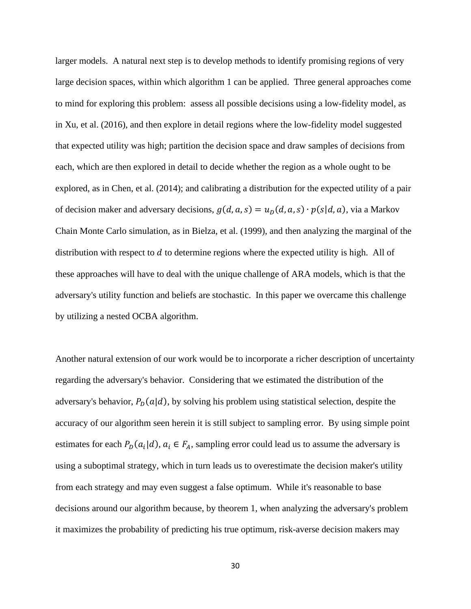larger models. A natural next step is to develop methods to identify promising regions of very large decision spaces, within which algorithm 1 can be applied. Three general approaches come to mind for exploring this problem: assess all possible decisions using a low-fidelity model, as in Xu, et al. (2016), and then explore in detail regions where the low-fidelity model suggested that expected utility was high; partition the decision space and draw samples of decisions from each, which are then explored in detail to decide whether the region as a whole ought to be explored, as in Chen, et al. (2014); and calibrating a distribution for the expected utility of a pair of decision maker and adversary decisions,  $g(d, a, s) = u_D(d, a, s) \cdot p(s|d, a)$ , via a Markov Chain Monte Carlo simulation, as in Bielza, et al. (1999), and then analyzing the marginal of the distribution with respect to  $d$  to determine regions where the expected utility is high. All of these approaches will have to deal with the unique challenge of ARA models, which is that the adversary's utility function and beliefs are stochastic. In this paper we overcame this challenge by utilizing a nested OCBA algorithm.

Another natural extension of our work would be to incorporate a richer description of uncertainty regarding the adversary's behavior. Considering that we estimated the distribution of the adversary's behavior,  $P_D(a|d)$ , by solving his problem using statistical selection, despite the accuracy of our algorithm seen herein it is still subject to sampling error. By using simple point estimates for each  $P_D(a_i | d)$ ,  $a_i \in F_A$ , sampling error could lead us to assume the adversary is using a suboptimal strategy, which in turn leads us to overestimate the decision maker's utility from each strategy and may even suggest a false optimum. While it's reasonable to base decisions around our algorithm because, by theorem 1, when analyzing the adversary's problem it maximizes the probability of predicting his true optimum, risk-averse decision makers may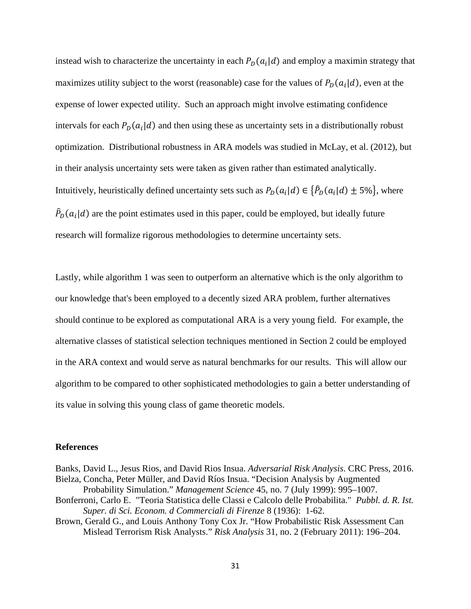instead wish to characterize the uncertainty in each  $P_D(a_i | d)$  and employ a maximin strategy that maximizes utility subject to the worst (reasonable) case for the values of  $P_D(a_i|d)$ , even at the expense of lower expected utility. Such an approach might involve estimating confidence intervals for each  $P_D(a_i|d)$  and then using these as uncertainty sets in a distributionally robust optimization. Distributional robustness in ARA models was studied in McLay, et al. (2012), but in their analysis uncertainty sets were taken as given rather than estimated analytically. Intuitively, heuristically defined uncertainty sets such as  $P_D(a_i|d) \in {P_D(a_i|d) \pm 5\%}$ , where  $\hat{P}_D(a_i|d)$  are the point estimates used in this paper, could be employed, but ideally future research will formalize rigorous methodologies to determine uncertainty sets.

Lastly, while algorithm 1 was seen to outperform an alternative which is the only algorithm to our knowledge that's been employed to a decently sized ARA problem, further alternatives should continue to be explored as computational ARA is a very young field. For example, the alternative classes of statistical selection techniques mentioned in Section 2 could be employed in the ARA context and would serve as natural benchmarks for our results. This will allow our algorithm to be compared to other sophisticated methodologies to gain a better understanding of its value in solving this young class of game theoretic models.

#### **References**

Banks, David L., Jesus Rios, and David Rios Insua. *Adversarial Risk Analysis*. CRC Press, 2016. Bielza, Concha, Peter Müller, and David Ríos Insua. "Decision Analysis by Augmented Probability Simulation." *Management Science* 45, no. 7 (July 1999): 995–1007.

- Bonferroni, Carlo E. "Teoria Statistica delle Classi e Calcolo delle Probabilita." *Pubbl. d. R. Ist. Super. di Sci. Econom. d Commerciali di Firenze* 8 (1936): 1-62.
- Brown, Gerald G., and Louis Anthony Tony Cox Jr. "How Probabilistic Risk Assessment Can Mislead Terrorism Risk Analysts." *Risk Analysis* 31, no. 2 (February 2011): 196–204.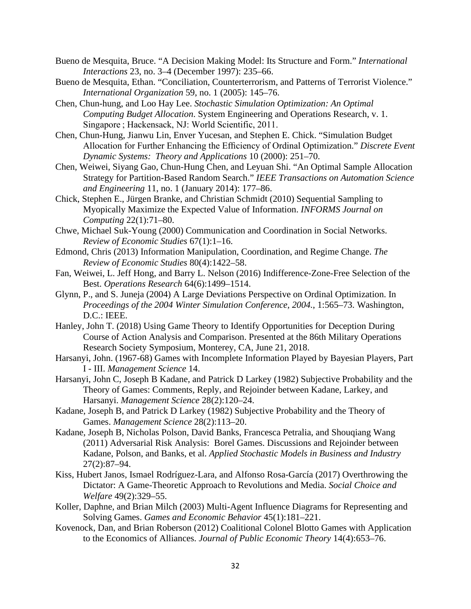- Bueno de Mesquita, Bruce. "A Decision Making Model: Its Structure and Form." *International Interactions* 23, no. 3–4 (December 1997): 235–66.
- Bueno de Mesquita, Ethan. "Conciliation, Counterterrorism, and Patterns of Terrorist Violence." *International Organization* 59, no. 1 (2005): 145–76.
- Chen, Chun-hung, and Loo Hay Lee. *Stochastic Simulation Optimization: An Optimal Computing Budget Allocation*. System Engineering and Operations Research, v. 1. Singapore ; Hackensack, NJ: World Scientific, 2011.
- Chen, Chun-Hung, Jianwu Lin, Enver Yucesan, and Stephen E. Chick. "Simulation Budget Allocation for Further Enhancing the Efficiency of Ordinal Optimization." *Discrete Event Dynamic Systems: Theory and Applications* 10 (2000): 251–70.
- Chen, Weiwei, Siyang Gao, Chun-Hung Chen, and Leyuan Shi. "An Optimal Sample Allocation Strategy for Partition-Based Random Search." *IEEE Transactions on Automation Science and Engineering* 11, no. 1 (January 2014): 177–86.
- Chick, Stephen E., Jürgen Branke, and Christian Schmidt (2010) Sequential Sampling to Myopically Maximize the Expected Value of Information. *INFORMS Journal on Computing* 22(1):71–80.
- Chwe, Michael Suk-Young (2000) Communication and Coordination in Social Networks. *Review of Economic Studies* 67(1):1–16.
- Edmond, Chris (2013) Information Manipulation, Coordination, and Regime Change. *The Review of Economic Studies* 80(4):1422–58.
- Fan, Weiwei, L. Jeff Hong, and Barry L. Nelson (2016) Indifference-Zone-Free Selection of the Best. *Operations Research* 64(6):1499–1514.
- Glynn, P., and S. Juneja (2004) A Large Deviations Perspective on Ordinal Optimization. In *Proceedings of the 2004 Winter Simulation Conference, 2004.*, 1:565–73. Washington, D.C.: IEEE.
- Hanley, John T. (2018) Using Game Theory to Identify Opportunities for Deception During Course of Action Analysis and Comparison. Presented at the 86th Military Operations Research Society Symposium, Monterey, CA, June 21, 2018.
- Harsanyi, John. (1967-68) Games with Incomplete Information Played by Bayesian Players, Part I - III. *Management Science* 14.
- Harsanyi, John C, Joseph B Kadane, and Patrick D Larkey (1982) Subjective Probability and the Theory of Games: Comments, Reply, and Rejoinder between Kadane, Larkey, and Harsanyi. *Management Science* 28(2):120–24.
- Kadane, Joseph B, and Patrick D Larkey (1982) Subjective Probability and the Theory of Games. *Management Science* 28(2):113–20.
- Kadane, Joseph B, Nicholas Polson, David Banks, Francesca Petralia, and Shouqiang Wang (2011) Adversarial Risk Analysis: Borel Games. Discussions and Rejoinder between Kadane, Polson, and Banks, et al. *Applied Stochastic Models in Business and Industry* 27(2):87–94.
- Kiss, Hubert Janos, Ismael Rodríguez-Lara, and Alfonso Rosa-García (2017) Overthrowing the Dictator: A Game-Theoretic Approach to Revolutions and Media. *Social Choice and Welfare* 49(2):329–55.
- Koller, Daphne, and Brian Milch (2003) Multi-Agent Influence Diagrams for Representing and Solving Games. *Games and Economic Behavior* 45(1):181–221.
- Kovenock, Dan, and Brian Roberson (2012) Coalitional Colonel Blotto Games with Application to the Economics of Alliances. *Journal of Public Economic Theory* 14(4):653–76.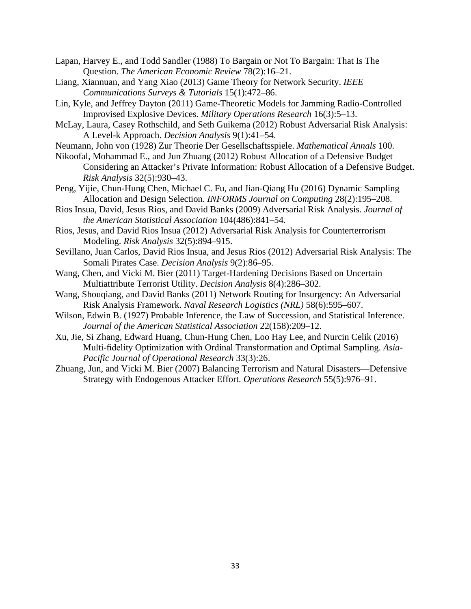- Lapan, Harvey E., and Todd Sandler (1988) To Bargain or Not To Bargain: That Is The Question. *The American Economic Review* 78(2):16–21.
- Liang, Xiannuan, and Yang Xiao (2013) Game Theory for Network Security. *IEEE Communications Surveys & Tutorials* 15(1):472–86.
- Lin, Kyle, and Jeffrey Dayton (2011) Game-Theoretic Models for Jamming Radio-Controlled Improvised Explosive Devices. *Military Operations Research* 16(3):5–13.
- McLay, Laura, Casey Rothschild, and Seth Guikema (2012) Robust Adversarial Risk Analysis: A Level-k Approach. *Decision Analysis* 9(1):41–54.
- Neumann, John von (1928) Zur Theorie Der Gesellschaftsspiele. *Mathematical Annals* 100.
- Nikoofal, Mohammad E., and Jun Zhuang (2012) Robust Allocation of a Defensive Budget Considering an Attacker's Private Information: Robust Allocation of a Defensive Budget. *Risk Analysis* 32(5):930–43.
- Peng, Yijie, Chun-Hung Chen, Michael C. Fu, and Jian-Qiang Hu (2016) Dynamic Sampling Allocation and Design Selection. *INFORMS Journal on Computing* 28(2):195–208.
- Rios Insua, David, Jesus Rios, and David Banks (2009) Adversarial Risk Analysis. *Journal of the American Statistical Association* 104(486):841–54.
- Rios, Jesus, and David Rios Insua (2012) Adversarial Risk Analysis for Counterterrorism Modeling. *Risk Analysis* 32(5):894–915.
- Sevillano, Juan Carlos, David Rios Insua, and Jesus Rios (2012) Adversarial Risk Analysis: The Somali Pirates Case. *Decision Analysis* 9(2):86–95.
- Wang, Chen, and Vicki M. Bier (2011) Target-Hardening Decisions Based on Uncertain Multiattribute Terrorist Utility. *Decision Analysis* 8(4):286–302.
- Wang, Shouqiang, and David Banks (2011) Network Routing for Insurgency: An Adversarial Risk Analysis Framework. *Naval Research Logistics (NRL)* 58(6):595–607.
- Wilson, Edwin B. (1927) Probable Inference, the Law of Succession, and Statistical Inference. *Journal of the American Statistical Association* 22(158):209–12.
- Xu, Jie, Si Zhang, Edward Huang, Chun-Hung Chen, Loo Hay Lee, and Nurcin Celik (2016) Multi-fidelity Optimization with Ordinal Transformation and Optimal Sampling. *Asia-Pacific Journal of Operational Research* 33(3):26.
- Zhuang, Jun, and Vicki M. Bier (2007) Balancing Terrorism and Natural Disasters—Defensive Strategy with Endogenous Attacker Effort. *Operations Research* 55(5):976–91.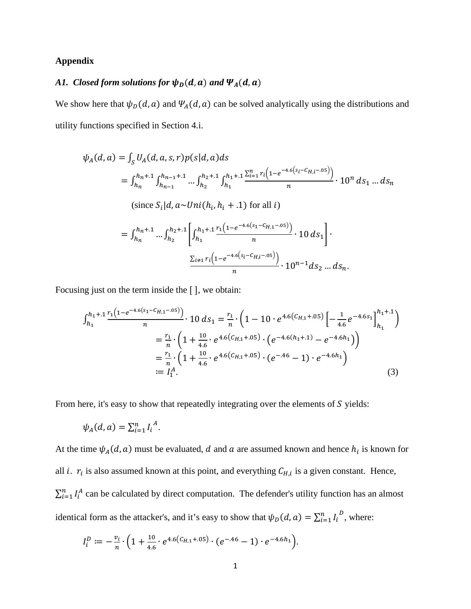## **Appendix**

# A1. Closed form solutions for  $\psi_D(d, a)$  and  $\Psi_A(d, a)$

We show here that  $\psi_D(d, a)$  and  $\Psi_A(d, a)$  can be solved analytically using the distributions and utility functions specified in Section 4.i.

$$
\psi_{A}(d, a) = \int_{S} U_{A}(d, a, s, r)p(s|d, a)ds
$$
\n
$$
= \int_{h_{n}}^{h_{n}+1} \int_{h_{n-1}}^{h_{n-1}+1} \cdots \int_{h_{2}}^{h_{2}+1} \int_{h_{1}}^{h_{1}+1} \frac{\sum_{i=1}^{n} r_{i} (1 - e^{-4.6(s_{i} - C_{H,i} - .05)})}{n} \cdot 10^{n} ds_{1} \dots ds_{n}
$$
\n(since  $S_{i}|d, a \sim Uni(h_{i}, h_{i} + .1)$  for all  $i$ )\n
$$
= \int_{h_{n}}^{h_{n}+1} \cdots \int_{h_{2}}^{h_{2}+1} \left[ \int_{h_{1}}^{h_{1}+1} \frac{r_{1} (1 - e^{-4.6(s_{1} - C_{H,1} - .05)})}{n} \cdot 10 ds_{1} \right] \cdot \frac{\sum_{i \neq 1} r_{i} (1 - e^{-4.6(s_{i} - C_{H,i} - .05)})}{n} \cdot 10^{n-1} ds_{2} \dots ds_{n}.
$$

Focusing just on the term inside the [ ], we obtain:

$$
\int_{h_1}^{h_1+1} \frac{r_1(1-e^{-4.6(s_1-C_{H,1}-.05)})}{n} \cdot 10 \, ds_1 = \frac{r_1}{n} \cdot \left(1 - 10 \cdot e^{4.6(C_{H,1}+.05)} \left[-\frac{1}{4.6}e^{-4.6s_1}\right]_{h_1}^{h_1+.1}\right)
$$

$$
= \frac{r_1}{n} \cdot \left(1 + \frac{10}{4.6} \cdot e^{4.6(C_{H,1}+.05)} \cdot \left(e^{-4.6(h_1+.1)} - e^{-4.6h_1}\right)\right)
$$

$$
= \frac{r_1}{n} \cdot \left(1 + \frac{10}{4.6} \cdot e^{4.6(C_{H,1}+.05)} \cdot \left(e^{-.46} - 1\right) \cdot e^{-4.6h_1}\right)
$$

$$
:= I_1^A. \tag{3}
$$

From here, it's easy to show that repeatedly integrating over the elements of  $S$  yields:

$$
\psi_A(d,a) = \sum_{i=1}^n I_i^A.
$$

At the time  $\psi_A(d, a)$  must be evaluated, d and a are assumed known and hence  $h_i$  is known for all *i*.  $r_i$  is also assumed known at this point, and everything  $C_{H,i}$  is a given constant. Hence,  $\sum_{i=1}^{n} I_i^A$  can be calculated by direct computation. The defender's utility function has an almost identical form as the attacker's, and it's easy to show that  $\psi_D(d, a) = \sum_{i=1}^n I_i^D$ , where:

$$
I_i^D := -\frac{v_i}{n} \cdot \left(1 + \frac{10}{4.6} \cdot e^{4.6(C_{H,1} + .05)} \cdot (e^{-.46} - 1) \cdot e^{-4.6h_1}\right).
$$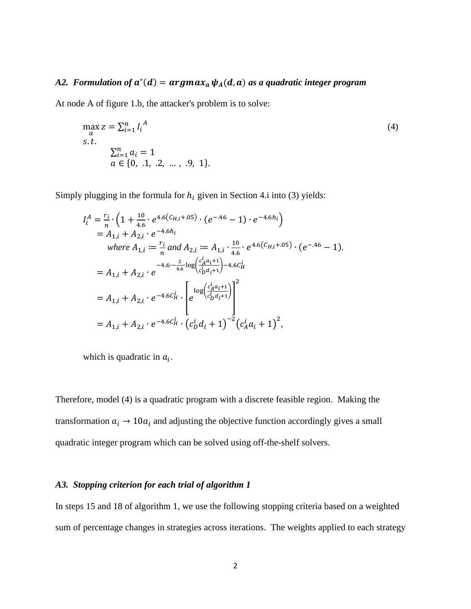# *A2. Formulation of*  $a^*(d) = argmax_a \psi_A(d, a)$  *as a quadratic integer program*

At node A of figure 1.b, the attacker's problem is to solve:

$$
\max_{a} z = \sum_{i=1}^{n} I_i^A
$$
  
s.t.  

$$
\sum_{i=1}^{n} a_i = 1
$$
  
 $a \in \{0, .1, .2, ..., .9, 1\}.$  (4)

Simply plugging in the formula for  $h_i$  given in Section 4.i into (3) yields:

$$
I_{i}^{A} = \frac{r_{i}}{n} \cdot \left( 1 + \frac{10}{4.6} \cdot e^{4.6 \left( C_{H,i} + .05 \right)} \cdot \left( e^{-.46} - 1 \right) \cdot e^{-4.6h_{i}} \right)
$$
  
\n
$$
= A_{1,i} + A_{2,i} \cdot e^{-4.6h_{i}}
$$
  
\nwhere  $A_{1,i} := \frac{r_{i}}{n}$  and  $A_{2,i} := A_{1,i} \cdot \frac{10}{4.6} \cdot e^{4.6 \left( C_{H,i} + .05 \right)} \cdot \left( e^{-.46} - 1 \right)$ .  
\n
$$
= A_{1,i} + A_{2,i} \cdot e^{-4.6 \cdot - \frac{2}{4.6} \cdot \log \left( \frac{c_{A}^{i} a_{i} + 1}{c_{B}^{i} a_{i} + 1} \right) - 4.6 c_{H}^{i}}
$$
  
\n
$$
= A_{1,i} + A_{2,i} \cdot e^{-4.6 \left( C_{H,i}^{i} \right)} \cdot \left[ e^{\log \left( \frac{c_{A}^{i} a_{i} + 1}{c_{B}^{i} a_{i} + 1} \right)} \right]^{2}
$$
  
\n
$$
= A_{1,i} + A_{2,i} \cdot e^{-4.6 \left( C_{H,i}^{i} \right)} \cdot \left( c_{B}^{i} d_{i} + 1 \right)^{-2} \left( c_{A}^{i} a_{i} + 1 \right)^{2},
$$

which is quadratic in  $a_i$ .

Therefore, model (4) is a quadratic program with a discrete feasible region. Making the transformation  $a_i \rightarrow 10a_i$  and adjusting the objective function accordingly gives a small quadratic integer program which can be solved using off-the-shelf solvers.

## *A3. Stopping criterion for each trial of algorithm 1*

In steps 15 and 18 of algorithm 1, we use the following stopping criteria based on a weighted sum of percentage changes in strategies across iterations. The weights applied to each strategy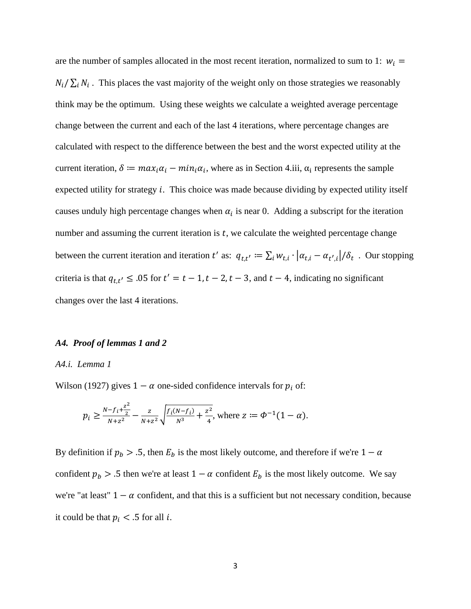are the number of samples allocated in the most recent iteration, normalized to sum to 1:  $w_i =$  $N_i / \sum_i N_i$ . This places the vast majority of the weight only on those strategies we reasonably think may be the optimum. Using these weights we calculate a weighted average percentage change between the current and each of the last 4 iterations, where percentage changes are calculated with respect to the difference between the best and the worst expected utility at the current iteration,  $\delta = max_i \alpha_i - min_i \alpha_i$ , where as in Section 4.iii,  $\alpha_i$  represents the sample expected utility for strategy  $i$ . This choice was made because dividing by expected utility itself causes unduly high percentage changes when  $\alpha_i$  is near 0. Adding a subscript for the iteration number and assuming the current iteration is  $t$ , we calculate the weighted percentage change between the current iteration and iteration t' as:  $q_{t,t'} := \sum_i w_{t,i} \cdot |\alpha_{t,i} - \alpha_{t',i}| / \delta_t$ . Our stopping criteria is that  $q_{t,t'} \leq 0.05$  for  $t' = t - 1, t - 2, t - 3$ , and  $t - 4$ , indicating no significant changes over the last 4 iterations.

### *A4. Proof of lemmas 1 and 2*

#### *A4.i. Lemma 1*

Wilson (1927) gives  $1 - \alpha$  one-sided confidence intervals for  $p_i$  of:

$$
p_i \ge \frac{N - f_i + \frac{z^2}{2}}{N + z^2} - \frac{z}{N + z^2} \sqrt{\frac{f_i(N - f_i)}{N^3} + \frac{z^2}{4}}, \text{ where } z := \Phi^{-1}(1 - \alpha).
$$

By definition if  $p_b > .5$ , then  $E_b$  is the most likely outcome, and therefore if we're  $1 - \alpha$ confident  $p_b > .5$  then we're at least  $1 - \alpha$  confident  $E_b$  is the most likely outcome. We say we're "at least"  $1 - \alpha$  confident, and that this is a sufficient but not necessary condition, because it could be that  $p_i < .5$  for all *i*.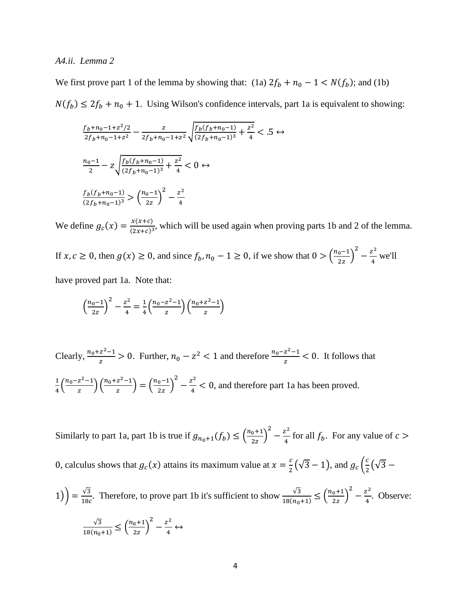## *A4.ii. Lemma 2*

We first prove part 1 of the lemma by showing that: (1a)  $2f_b + n_0 - 1 < N(f_b)$ ; and (1b)  $N(f_b) \le 2f_b + n_0 + 1$ . Using Wilson's confidence intervals, part 1a is equivalent to showing:

$$
\frac{f_b + n_0 - 1 + z^2/2}{2f_b + n_0 - 1 + z^2} - \frac{z}{2f_b + n_0 - 1 + z^2} \sqrt{\frac{f_b(f_b + n_0 - 1)}{(2f_b + n_0 - 1)^3} + \frac{z^2}{4}} < .5 \leftrightarrow
$$
  

$$
\frac{n_0 - 1}{2} - z \sqrt{\frac{f_b(f_b + n_0 - 1)}{(2f_b + n_0 - 1)^3} + \frac{z^2}{4}} < 0 \leftrightarrow
$$
  

$$
\frac{f_b(f_b + n_0 - 1)}{(2f_b + n_0 - 1)^3} > \left(\frac{n_0 - 1}{2z}\right)^2 - \frac{z^2}{4}
$$

We define  $g_c(x) = \frac{x(x+c)}{(2x+c)^3}$ , which will be used again when proving parts 1b and 2 of the lemma.

If  $x, c \ge 0$ , then  $g(x) \ge 0$ , and since  $f_b, n_0 - 1 \ge 0$ , if we show that  $0 > \left(\frac{n_0 - 1}{2z}\right)$  $\frac{z^2}{4}$  we'll

have proved part 1a. Note that:

$$
\left(\frac{n_0 - 1}{2z}\right)^2 - \frac{z^2}{4} = \frac{1}{4} \left(\frac{n_0 - z^2 - 1}{z}\right) \left(\frac{n_0 + z^2 - 1}{z}\right)
$$

Clearly,  $\frac{n_0 + z^2 - 1}{z} > 0$ . Further,  $n_0 - z^2 < 1$  and therefore  $\frac{n_0 - z^2 - 1}{z} < 0$ . It follows that  $\frac{1}{4} \left( \frac{n_0 - z^2 - 1}{z} \right) \left( \frac{n_0 + z^2 - 1}{z} \right) = \left( \frac{n_0 - 1}{2z} \right)$  $\frac{2}{4} - \frac{z^2}{4} < 0$ , and therefore part 1a has been proved.

Similarly to part 1a, part 1b is true if  $g_{n_0+1}(f_b) \leq \left( \frac{n_0+1}{2z} \right)$  $\frac{z^2}{4} - \frac{z^2}{4}$  for all  $f_b$ . For any value of  $c >$ 0, calculus shows that  $g_c(x)$  attains its maximum value at  $x = \frac{c}{2}(\sqrt{3} - 1)$ , and  $g_c(\frac{c}{2}(\sqrt{3} - 1))$ 

$$
1) = \frac{\sqrt{3}}{18c}.
$$
 Therefore, to prove part 1b it's sufficient to show  $\frac{\sqrt{3}}{18(n_0+1)} \le \left(\frac{n_0+1}{2z}\right)^2 - \frac{z^2}{4}.$  Observe:  

$$
\frac{\sqrt{3}}{18(n_0+1)} \le \left(\frac{n_0+1}{2z}\right)^2 - \frac{z^2}{4} \leftrightarrow
$$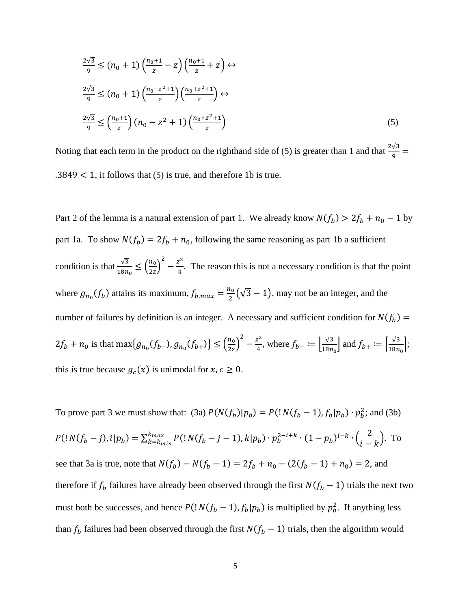$$
\frac{2\sqrt{3}}{9} \le (n_0 + 1) \left(\frac{n_0 + 1}{z} - z\right) \left(\frac{n_0 + 1}{z} + z\right) \leftrightarrow
$$
  

$$
\frac{2\sqrt{3}}{9} \le (n_0 + 1) \left(\frac{n_0 - z^2 + 1}{z}\right) \left(\frac{n_0 + z^2 + 1}{z}\right) \leftrightarrow
$$
  

$$
\frac{2\sqrt{3}}{9} \le \left(\frac{n_0 + 1}{z}\right) (n_0 - z^2 + 1) \left(\frac{n_0 + z^2 + 1}{z}\right)
$$
 (5)

Noting that each term in the product on the righthand side of (5) is greater than 1 and that  $\frac{2\sqrt{3}}{9}$  =  $.3849 < 1$ , it follows that (5) is true, and therefore 1b is true.

Part 2 of the lemma is a natural extension of part 1. We already know  $N(f_b) > 2f_b + n_0 - 1$  by part 1a. To show  $N(f_b) = 2f_b + n_0$ , following the same reasoning as part 1b a sufficient condition is that  $\frac{\sqrt{3}}{100}$  $rac{\sqrt{3}}{18n_0} \leq \left(\frac{n_0}{2z}\right)$  $\frac{1}{2z}$  $\frac{z^2}{4} - \frac{z^2}{4}$ . The reason this is not a necessary condition is that the point where  $g_{n_0}(f_b)$  attains its maximum,  $f_{b,max} = \frac{n_0}{2}(\sqrt{3}-1)$ , may not be an integer, and the number of failures by definition is an integer. A necessary and sufficient condition for  $N(f_b)$  =  $2f_b + n_0$  is that max $\{g_{n_0}(f_{b-}), g_{n_0}(f_{b+})\} \leq \left(\frac{n_0}{2z}\right)$  $\frac{v}{2z}$  $\int_{0}^{2} -\frac{z^{2}}{4}$ , where  $f_{b-} := \left[\frac{\sqrt{3}}{18n_{0}}\right]$  and  $f_{b+} := \left[\frac{\sqrt{3}}{18n_{0}}\right]$ ; this is true because  $g_c(x)$  is unimodal for  $x, c \ge 0$ .

To prove part 3 we must show that: (3a)  $P(N(f_b)|p_b) = P($ !  $N(f_b - 1)$ ,  $f_b|p_b) \cdot p_b^2$ ; and (3b)  $P($ !  $N(f_b - j)$ ,  $i|p_b) = \sum_{k=k_{min}}^{k_{max}} P($ !  $N(f_b - j - 1)$ ,  $k|p_b) \cdot p_b^{2-i+k} \cdot (1 - p_b)^{i-k} \cdot {2 \choose i-k}$ . To see that 3a is true, note that  $N(f_b) - N(f_b - 1) = 2f_b + n_0 - (2(f_b - 1) + n_0) = 2$ , and therefore if  $f_b$  failures have already been observed through the first  $N(f_b - 1)$  trials the next two must both be successes, and hence  $P(|N(f_b - 1), f_b|p_b)$  is multiplied by  $p_b^2$ . If anything less than  $f_b$  failures had been observed through the first  $N(f_b - 1)$  trials, then the algorithm would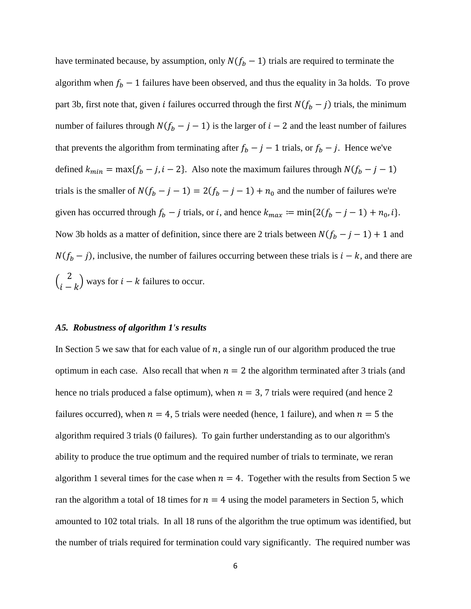have terminated because, by assumption, only  $N(f_b - 1)$  trials are required to terminate the algorithm when  $f_b - 1$  failures have been observed, and thus the equality in 3a holds. To prove part 3b, first note that, given *i* failures occurred through the first  $N(f_b - j)$  trials, the minimum number of failures through  $N(f_b - j - 1)$  is the larger of  $i - 2$  and the least number of failures that prevents the algorithm from terminating after  $f_b - j - 1$  trials, or  $f_b - j$ . Hence we've defined  $k_{min} = \max\{f_b - j, i - 2\}$ . Also note the maximum failures through  $N(f_b - j - 1)$ trials is the smaller of  $N(f_b - j - 1) = 2(f_b - j - 1) + n_0$  and the number of failures we're given has occurred through  $f_b - j$  trials, or i, and hence  $k_{max} := \min\{2(f_b - j - 1) + n_0, i\}.$ Now 3b holds as a matter of definition, since there are 2 trials between  $N(f_b - j - 1) + 1$  and  $N(f_b - j)$ , inclusive, the number of failures occurring between these trials is  $i - k$ , and there are  $\binom{2}{i-k}$  ways for  $i - k$  failures to occur.

## *A5. Robustness of algorithm 1's results*

In Section 5 we saw that for each value of  $n$ , a single run of our algorithm produced the true optimum in each case. Also recall that when  $n = 2$  the algorithm terminated after 3 trials (and hence no trials produced a false optimum), when  $n = 3, 7$  trials were required (and hence 2 failures occurred), when  $n = 4$ , 5 trials were needed (hence, 1 failure), and when  $n = 5$  the algorithm required 3 trials (0 failures). To gain further understanding as to our algorithm's ability to produce the true optimum and the required number of trials to terminate, we reran algorithm 1 several times for the case when  $n = 4$ . Together with the results from Section 5 we ran the algorithm a total of 18 times for  $n = 4$  using the model parameters in Section 5, which amounted to 102 total trials. In all 18 runs of the algorithm the true optimum was identified, but the number of trials required for termination could vary significantly. The required number was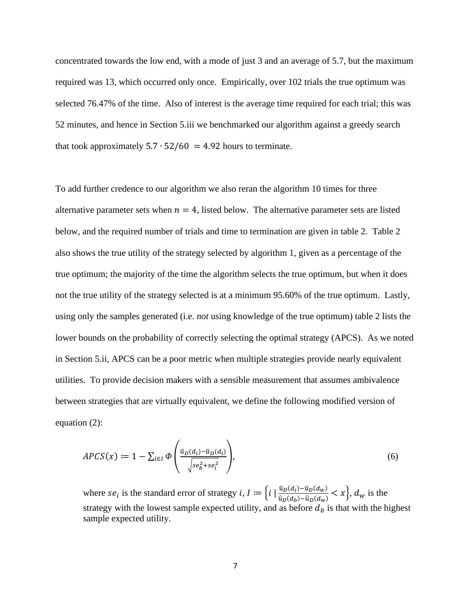concentrated towards the low end, with a mode of just 3 and an average of 5.7, but the maximum required was 13, which occurred only once. Empirically, over 102 trials the true optimum was selected 76.47% of the time. Also of interest is the average time required for each trial; this was 52 minutes, and hence in Section 5.iii we benchmarked our algorithm against a greedy search that took approximately  $5.7 \cdot 52/60 = 4.92$  hours to terminate.

To add further credence to our algorithm we also reran the algorithm 10 times for three alternative parameter sets when  $n = 4$ , listed below. The alternative parameter sets are listed below, and the required number of trials and time to termination are given in table 2. Table 2 also shows the true utility of the strategy selected by algorithm 1, given as a percentage of the true optimum; the majority of the time the algorithm selects the true optimum, but when it does not the true utility of the strategy selected is at a minimum 95.60% of the true optimum. Lastly, using only the samples generated (i.e. *not* using knowledge of the true optimum) table 2 lists the lower bounds on the probability of correctly selecting the optimal strategy (APCS). As we noted in Section 5.ii, APCS can be a poor metric when multiple strategies provide nearly equivalent utilities. To provide decision makers with a sensible measurement that assumes ambivalence between strategies that are virtually equivalent, we define the following modified version of equation (2):

$$
APCS(x) \coloneqq 1 - \sum_{i \in I} \Phi\left(\frac{\hat{u}_D(a_i) - \hat{u}_D(a_i)}{\sqrt{se_b^2 + se_i^2}}\right),\tag{6}
$$

where  $se_i$  is the standard error of strategy  $i, I := \left\{i \mid \frac{\hat{u}_D(a_i) - \hat{u}_D(a_w)}{\hat{u}_D(a_b) - \hat{u}_D(a_w)} < x\right\}$ ,  $d_w$  is the strategy with the lowest sample expected utility, and as before  $d<sub>b</sub>$  is that with the highest sample expected utility.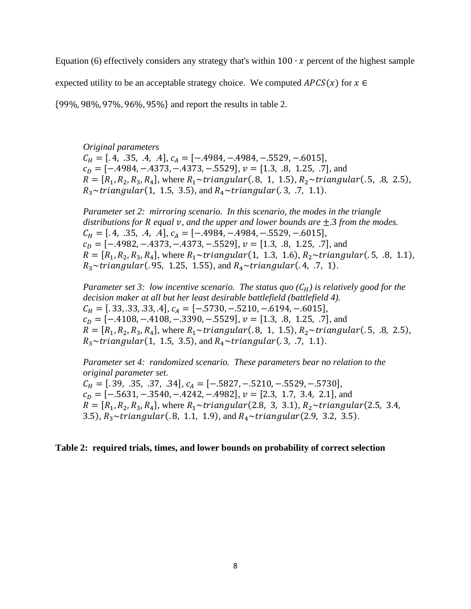Equation (6) effectively considers any strategy that's within  $100 \cdot x$  percent of the highest sample

expected utility to be an acceptable strategy choice. We computed  $APCS(x)$  for  $x \in$ 

{99%, 98%, 97%, 96%, 95%} and report the results in table 2.

*Original parameters*

 $C_H = [.4, .35, .4, .4],$   $C_A = [-.4984, -.4984, -.5529, -.6015],$  $c_p = [-.4984, -.4373, -.4373, -.5529], v = [1.3, .8, 1.25, .7],$  and  $R = [R_1, R_2, R_3, R_4]$ , where  $R_1 \sim \{triangular(0.8, 1, 1.5), R_2 \sim \{triangular(0.5, 0.8, 2.5),$  $R_3 \sim triangular(1, 1.5, 3.5),$  and  $R_4 \sim triangular(.3, .7, 1.1).$ 

*Parameter set 2: mirroring scenario. In this scenario, the modes in the triangle distributions for R equal v, and the upper and lower bounds are*  $\pm$ .3 *from the modes.*  $C_H = [.4, .35, .4, .4], C_A = [-.4984, -.4984, -.5529, -.6015],$  $c_D = [-.4982, -.4373, -.4373, -.5529], v = [1.3, .8, 1.25, .7],$  and  $R = [R_1, R_2, R_3, R_4]$ , where  $R_1 \sim triangular(1, 1.3, 1.6), R_2 \sim triangular(.5, .8, 1.1),$  $R_3 \sim \{triangular(0.95, 1.25, 1.55), \text{ and } R_4 \sim \{triangular(0.4, 0.7, 1)\}.$ 

*Parameter set 3: low incentive scenario. The status quo*  $(C_H)$  *is relatively good for the decision maker at all but her least desirable battlefield (battlefield 4).*  $C_H = [.33, .33, .33, .4],$   $C_A = [-.5730, -.5210, -.6194, -.6015],$  $c_D = [-.4108, -.4108, -.3390, -.5529], v = [1.3, .8, 1.25, .7],$  and  $R = [R_1, R_2, R_3, R_4]$ , where  $R_1 \sim triangular(.8, 1, 1.5), R_2 \sim triangular(.5, .8, 2.5)$ ,  $R_3 \sim \{triangular(1, 1.5, 3.5), \text{and } R_4 \sim \{triangular(.3, .7, 1.1\}).$ 

*Parameter set 4: randomized scenario. These parameters bear no relation to the original parameter set.*  $C_H = [.39, .35, .37, .34],$   $C_A = [-.5827, -.5210, -.5529, -.5730],$  $c<sub>D</sub> = [-.5631, -.3540, -.4242, -.4982], v = [2.3, 1.7, 3.4, 2.1],$  and  $R = [R_1, R_2, R_3, R_4]$ , where  $R_1 \sim \{triangular(2.8, 3, 3.1), R_2 \sim \{triangular(2.5, 3.4,$ 3.5),  $R_3 \sim \{triangular(0.8, 1.1, 1.9), \text{ and } R_4 \sim \{triangular(2.9, 3.2, 3.5)\}.$ 

## **Table 2: required trials, times, and lower bounds on probability of correct selection**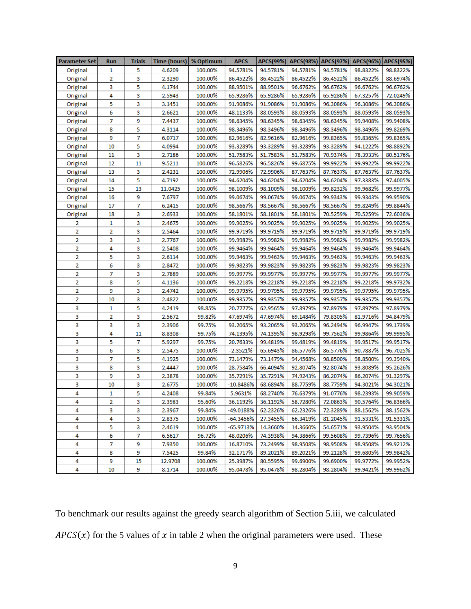| <b>Parameter Set</b> | <b>Run</b> | Trials | Time (hours) | % Optimum | <b>APCS</b> |          |          |          | APCS(99%)   APCS(98%)   APCS(97%)   APCS(96%)   APCS(95%) |          |
|----------------------|------------|--------|--------------|-----------|-------------|----------|----------|----------|-----------------------------------------------------------|----------|
| Original             | 1          | 5      | 4.6209       | 100.00%   | 94.5781%    | 94.5781% | 94.5781% | 94.5781% | 98.8322%                                                  | 98.8322% |
| Original             | 2          | 3      | 2.3290       | 100.00%   | 86.4522%    | 86.4522% | 86.4522% | 86.4522% | 86.4522%                                                  | 88.6974% |
| Original             | 3          | 5      | 4.1744       | 100.00%   | 88.9501%    | 88.9501% | 96.6762% | 96.6762% | 96.6762%                                                  | 96.6762% |
| Original             | 4          | 3      | 2.5943       | 100.00%   | 65.9286%    | 65.9286% | 65.9286% | 65.9286% | 67.3257%                                                  | 72.0249% |
| Original             | 5          | 3      | 3.1451       | 100.00%   | 91.9086%    | 91.9086% | 91.9086% | 96.3086% | 96.3086%                                                  | 96.3086% |
| Original             | 6          | 3      | 2.6621       | 100.00%   | 48.1133%    | 88.0593% | 88.0593% | 88.0593% | 88.0593%                                                  | 88.0593% |
| Original             | 7          | 9      | 7.4437       | 100.00%   | 98.6345%    | 98.6345% | 98.6345% | 98.6345% | 99.9408%                                                  | 99.9408% |
| Original             | 8          | 5      | 4.3114       | 100.00%   | 98.3496%    | 98.3496% | 98.3496% | 98.3496% | 98.3496%                                                  | 99.8269% |
| Original             | 9          | 7      | 6.0717       | 100.00%   | 82.9616%    | 82.9616% | 82.9616% | 99.8365% | 99.8365%                                                  | 99.8365% |
| Original             | 10         | 5      | 4.0994       | 100.00%   | 93.3289%    | 93.3289% | 93.3289% | 93.3289% | 94.1222%                                                  | 98.8892% |
| Original             | 11         | 3      | 2.7186       | 100.00%   | 51.7583%    | 51.7583% | 51.7583% | 70.9374% | 78.3933%                                                  | 80.5176% |
| Original             | 12         | 11     | 9.5211       | 100.00%   | 96.5826%    | 96.5826% | 99.6875% | 99.9922% | 99.9922%                                                  | 99.9922% |
| Original             | 13         | з      | 2.4231       | 100.00%   | 72.9906%    | 72.9906% | 87.7637% | 87.7637% | 87.7637%                                                  | 87.7637% |
| Original             | 14         | 5      | 4.7192       | 100.00%   | 94.6204%    | 94.6204% | 94.6204% | 94.6204% | 97.3383%                                                  | 97.4005% |
| Original             | 15         | 13     | 11.0425      | 100.00%   | 98.1009%    | 98.1009% | 98.1009% | 99.8232% | 99.9682%                                                  | 99.9977% |
| Original             | 16         | 9      | 7.6797       | 100.00%   | 99.0674%    | 99.0674% | 99.0674% | 99.9343% | 99.9343%                                                  | 99.9590% |
| Original             | 17         | 7      | 6.2415       | 100.00%   | 98.5667%    | 98.5667% | 98.5667% | 98.5667% | 99.8249%                                                  | 99.8844% |
| Original             | 18         | 3      | 2.6933       | 100.00%   | 58.1801%    | 58.1801% | 58.1801% | 70.5259% | 70.5259%                                                  | 72.6036% |
| 2                    | 1          | 3      | 2.4675       | 100.00%   | 99.9025%    | 99.9025% | 99.9025% | 99.9025% | 99.9025%                                                  | 99.9025% |
| 2                    | 2          | 3      | 2.5464       | 100.00%   | 99.9719%    | 99.9719% | 99.9719% | 99.9719% | 99.9719%                                                  | 99.9719% |
| 2                    | 3          | 3      | 2.7767       | 100.00%   | 99.9982%    | 99.9982% | 99.9982% | 99.9982% | 99.9982%                                                  | 99.9982% |
| 2                    | 4          | з      | 2.5408       | 100.00%   | 99.9464%    | 99.9464% | 99.9464% | 99.9464% | 99.9464%                                                  | 99.9464% |
| 2                    | 5          | 3      | 2.6114       | 100.00%   | 99.9463%    | 99.9463% | 99.9463% | 99.9463% | 99.9463%                                                  | 99.9463% |
| 2                    | 6          | з      | 2.8472       | 100.00%   | 99.9823%    | 99.9823% | 99.9823% | 99.9823% | 99.9823%                                                  | 99.9823% |
| 2                    | 7          | 3      | 2.7889       | 100.00%   | 99.9977%    | 99.9977% | 99.9977% | 99.9977% | 99.9977%                                                  | 99.9977% |
| 2                    | 8          | 5      | 4.1136       | 100.00%   | 99.2218%    | 99.2218% | 99.2218% | 99.2218% | 99.2218%                                                  | 99.9732% |
| 2                    | 9          | 3      | 2.4742       | 100.00%   | 99.9795%    | 99.9795% | 99.9795% | 99.9795% | 99.9795%                                                  | 99.9795% |
| 2                    | 10         | 3      | 2.4822       | 100.00%   | 99.9357%    | 99.9357% | 99.9357% | 99.9357% | 99.9357%                                                  | 99.9357% |
| 3                    | 1          | 5      | 4.2419       | 98.85%    | 20.7777%    | 62.9565% | 97.8979% | 97.8979% | 97.8979%                                                  | 97.8979% |
| 3                    | 2          | 3      | 2.5672       | 99.82%    | 47.6974%    | 47.6974% | 69.1484% | 79.8305% | 81.9716%                                                  | 94.8479% |
| 3                    | 3          | 3      | 2.3906       | 99.75%    | 93.2065%    | 93.2065% | 93.2065% | 96.2494% | 96.9947%                                                  | 99.1739% |
| 3                    | 4          | 11     | 8.8308       | 99.75%    | 74.1395%    | 74.1395% | 98.9298% | 99.7562% | 99.9864%                                                  | 99.9995% |
| 3                    | 5          | 7      | 5.9297       | 99.75%    | 20.7633%    | 99.4819% | 99.4819% | 99.4819% | 99.9517%                                                  | 99.9517% |
| 3                    | 6          | з      | 2.5475       | 100.00%   | $-2.3521%$  | 65.6943% | 86.5776% | 86.5776% | 90.7887%                                                  | 96.7025% |
| 3                    | 7          | 5      | 4.1925       | 100.00%   | 73.1479%    | 73.1479% | 94.4568% | 98.8500% | 98.8500%                                                  | 99.3940% |
| 3                    | 8          | 3      | 2.4447       | 100.00%   | 28.7584%    | 66.4094% | 92.8074% | 92.8074% | 93.8089%                                                  | 95.2626% |
| 3                    | 9          | 3      | 2.3878       | 100.00%   | 35.7291%    | 35.7291% | 74.9243% | 86.2074% | 86.2074%                                                  | 91.3297% |
| 3                    | 10         | 3      | 2.6775       | 100.00%   | $-10.8486%$ | 68.6894% | 88.7759% | 88.7759% | 94.3021%                                                  | 94.3021% |
| 4                    | 1          | 5      | 4.2408       | 99.84%    | 5.9631%     | 68.2740% | 76.6379% | 91.0776% | 98.2393%                                                  | 99.9059% |
| 4                    | 2          | з      | 2.3983       | 95.60%    | 36.1192%    | 36.1192% | 58.7280% | 72.0863% | 90.5764%                                                  | 96.8366% |
| 4                    | 3          | з      | 2.3967       | 99.84%    | -49.0188%   | 62.2326% | 62.2326% | 72.3289% | 88.1562%                                                  | 88.1562% |
| 4                    | 4          | з      | 2.8375       | 100.00%   | -64.3456%   | 27.3455% | 66.3419% | 81.2045% | 91.5331%                                                  | 91.5331% |
| 4                    | 5          | 3      | 2.4619       | 100.00%   | $-65.9713%$ | 14.3660% | 14.3660% | 54.6571% | 93.9504%                                                  | 93.9504% |
| 4                    | 6          | 7      | 6.5617       | 96.72%    | 48.0206%    | 74.3938% | 94.3866% | 99.5608% | 99.7396%                                                  | 99.7656% |
| 4                    | 7          | 9      | 7.9350       | 100.00%   | 16.8710%    | 73.2499% | 98.9508% | 98.9508% | 98.9508%                                                  | 99.9212% |
| 4                    | 8          | 9      | 7.5425       | 99.84%    | 32.1717%    | 89.2021% | 89.2021% | 99.2128% | 99.6805%                                                  | 99.9842% |
| 4                    | 9          | 15     | 12.9708      | 100.00%   | 25.3987%    | 80.5595% | 99.6900% | 99.6900% | 99.9772%                                                  | 99.9952% |
| 4                    | 10         | 9      | 8.1714       | 100.00%   | 95.0478%    | 95.0478% | 98.2804% | 98.2804% | 99.9421%                                                  | 99.9962% |

To benchmark our results against the greedy search algorithm of Section 5.iii, we calculated  $APCS(x)$  for the 5 values of x in table 2 when the original parameters were used. These